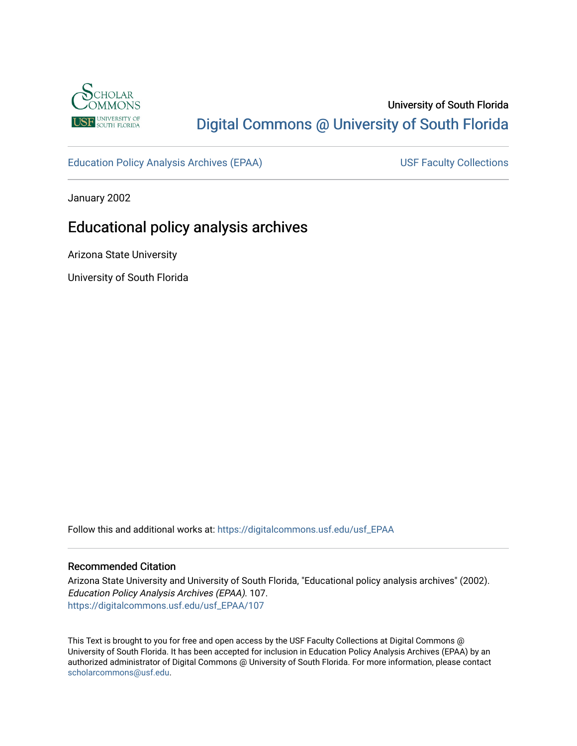

# University of South Florida [Digital Commons @ University of South Florida](https://digitalcommons.usf.edu/)

[Education Policy Analysis Archives \(EPAA\)](https://digitalcommons.usf.edu/usf_EPAA) USF Faculty Collections

January 2002

# Educational policy analysis archives

Arizona State University

University of South Florida

Follow this and additional works at: [https://digitalcommons.usf.edu/usf\\_EPAA](https://digitalcommons.usf.edu/usf_EPAA?utm_source=digitalcommons.usf.edu%2Fusf_EPAA%2F107&utm_medium=PDF&utm_campaign=PDFCoverPages)

#### Recommended Citation

Arizona State University and University of South Florida, "Educational policy analysis archives" (2002). Education Policy Analysis Archives (EPAA). 107. [https://digitalcommons.usf.edu/usf\\_EPAA/107](https://digitalcommons.usf.edu/usf_EPAA/107?utm_source=digitalcommons.usf.edu%2Fusf_EPAA%2F107&utm_medium=PDF&utm_campaign=PDFCoverPages)

This Text is brought to you for free and open access by the USF Faculty Collections at Digital Commons @ University of South Florida. It has been accepted for inclusion in Education Policy Analysis Archives (EPAA) by an authorized administrator of Digital Commons @ University of South Florida. For more information, please contact [scholarcommons@usf.edu.](mailto:scholarcommons@usf.edu)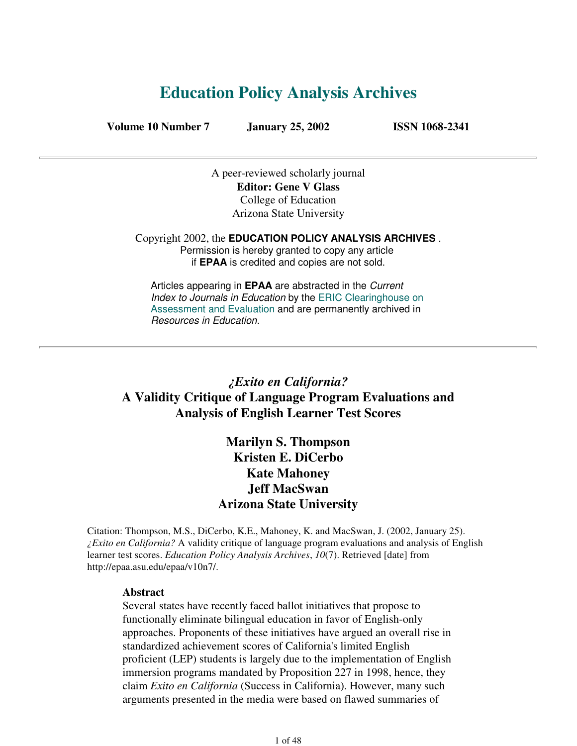# **Education Policy Analysis Archives**

**Volume 10 Number 7 January 25, 2002 ISSN 1068-2341**

A peer-reviewed scholarly journal **Editor: Gene V Glass** College of Education Arizona State University

Copyright 2002, the **EDUCATION POLICY ANALYSIS ARCHIVES** . Permission is hereby granted to copy any article if **EPAA** is credited and copies are not sold.

Articles appearing in **EPAA** are abstracted in the Current Index to Journals in Education by the ERIC Clearinghouse on Assessment and Evaluation and are permanently archived in Resources in Education.

## *¿Exito en California?* **A Validity Critique of Language Program Evaluations and Analysis of English Learner Test Scores**

**Marilyn S. Thompson Kristen E. DiCerbo Kate Mahoney Jeff MacSwan Arizona State University**

Citation: Thompson, M.S., DiCerbo, K.E., Mahoney, K. and MacSwan, J. (2002, January 25). *¿Exito en California?* A validity critique of language program evaluations and analysis of English learner test scores. *Education Policy Analysis Archives*, *10*(7). Retrieved [date] from http://epaa.asu.edu/epaa/v10n7/.

#### **Abstract**

Several states have recently faced ballot initiatives that propose to functionally eliminate bilingual education in favor of English-only approaches. Proponents of these initiatives have argued an overall rise in standardized achievement scores of California's limited English proficient (LEP) students is largely due to the implementation of English immersion programs mandated by Proposition 227 in 1998, hence, they claim *Exito en California* (Success in California). However, many such arguments presented in the media were based on flawed summaries of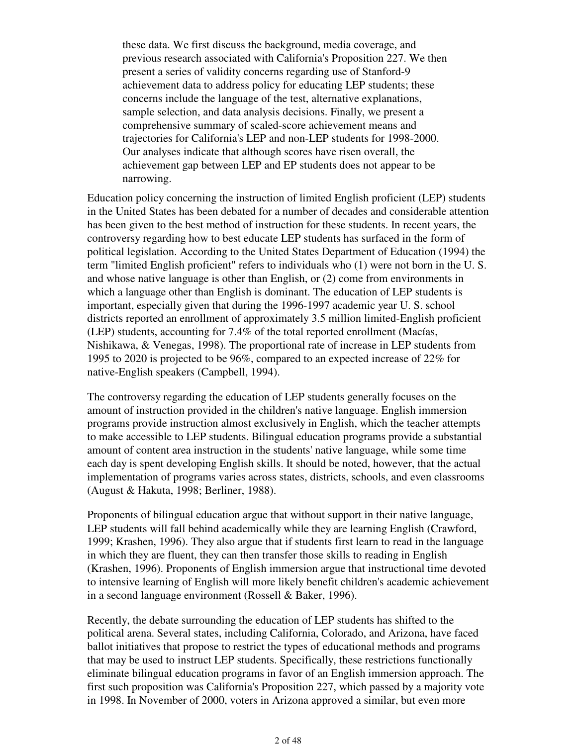these data. We first discuss the background, media coverage, and previous research associated with California's Proposition 227. We then present a series of validity concerns regarding use of Stanford-9 achievement data to address policy for educating LEP students; these concerns include the language of the test, alternative explanations, sample selection, and data analysis decisions. Finally, we present a comprehensive summary of scaled-score achievement means and trajectories for California's LEP and non-LEP students for 1998-2000. Our analyses indicate that although scores have risen overall, the achievement gap between LEP and EP students does not appear to be narrowing.

Education policy concerning the instruction of limited English proficient (LEP) students in the United States has been debated for a number of decades and considerable attention has been given to the best method of instruction for these students. In recent years, the controversy regarding how to best educate LEP students has surfaced in the form of political legislation. According to the United States Department of Education (1994) the term "limited English proficient" refers to individuals who (1) were not born in the U. S. and whose native language is other than English, or (2) come from environments in which a language other than English is dominant. The education of LEP students is important, especially given that during the 1996-1997 academic year U. S. school districts reported an enrollment of approximately 3.5 million limited-English proficient (LEP) students, accounting for 7.4% of the total reported enrollment (Macías, Nishikawa, & Venegas, 1998). The proportional rate of increase in LEP students from 1995 to 2020 is projected to be 96%, compared to an expected increase of 22% for native-English speakers (Campbell, 1994).

The controversy regarding the education of LEP students generally focuses on the amount of instruction provided in the children's native language. English immersion programs provide instruction almost exclusively in English, which the teacher attempts to make accessible to LEP students. Bilingual education programs provide a substantial amount of content area instruction in the students' native language, while some time each day is spent developing English skills. It should be noted, however, that the actual implementation of programs varies across states, districts, schools, and even classrooms (August & Hakuta, 1998; Berliner, 1988).

Proponents of bilingual education argue that without support in their native language, LEP students will fall behind academically while they are learning English (Crawford, 1999; Krashen, 1996). They also argue that if students first learn to read in the language in which they are fluent, they can then transfer those skills to reading in English (Krashen, 1996). Proponents of English immersion argue that instructional time devoted to intensive learning of English will more likely benefit children's academic achievement in a second language environment (Rossell & Baker, 1996).

Recently, the debate surrounding the education of LEP students has shifted to the political arena. Several states, including California, Colorado, and Arizona, have faced ballot initiatives that propose to restrict the types of educational methods and programs that may be used to instruct LEP students. Specifically, these restrictions functionally eliminate bilingual education programs in favor of an English immersion approach. The first such proposition was California's Proposition 227, which passed by a majority vote in 1998. In November of 2000, voters in Arizona approved a similar, but even more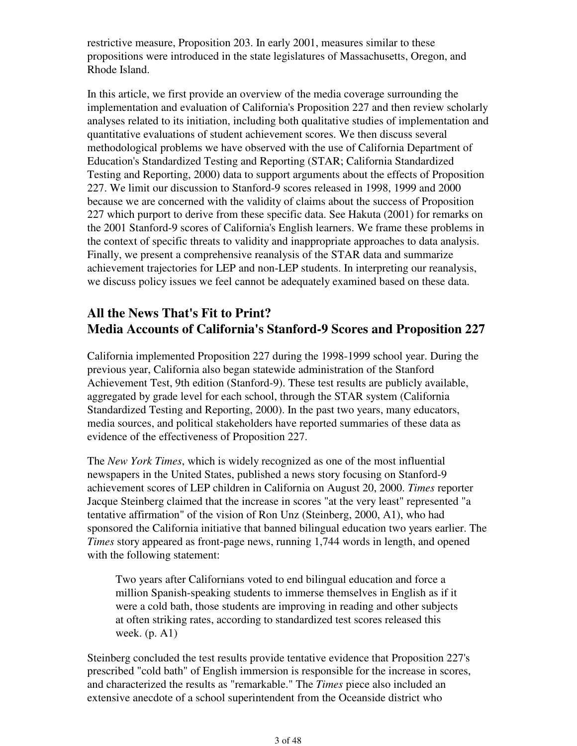restrictive measure, Proposition 203. In early 2001, measures similar to these propositions were introduced in the state legislatures of Massachusetts, Oregon, and Rhode Island.

In this article, we first provide an overview of the media coverage surrounding the implementation and evaluation of California's Proposition 227 and then review scholarly analyses related to its initiation, including both qualitative studies of implementation and quantitative evaluations of student achievement scores. We then discuss several methodological problems we have observed with the use of California Department of Education's Standardized Testing and Reporting (STAR; California Standardized Testing and Reporting, 2000) data to support arguments about the effects of Proposition 227. We limit our discussion to Stanford-9 scores released in 1998, 1999 and 2000 because we are concerned with the validity of claims about the success of Proposition 227 which purport to derive from these specific data. See Hakuta (2001) for remarks on the 2001 Stanford-9 scores of California's English learners. We frame these problems in the context of specific threats to validity and inappropriate approaches to data analysis. Finally, we present a comprehensive reanalysis of the STAR data and summarize achievement trajectories for LEP and non-LEP students. In interpreting our reanalysis, we discuss policy issues we feel cannot be adequately examined based on these data.

# **All the News That's Fit to Print? Media Accounts of California's Stanford-9 Scores and Proposition 227**

California implemented Proposition 227 during the 1998-1999 school year. During the previous year, California also began statewide administration of the Stanford Achievement Test, 9th edition (Stanford-9). These test results are publicly available, aggregated by grade level for each school, through the STAR system (California Standardized Testing and Reporting, 2000). In the past two years, many educators, media sources, and political stakeholders have reported summaries of these data as evidence of the effectiveness of Proposition 227.

The *New York Times*, which is widely recognized as one of the most influential newspapers in the United States, published a news story focusing on Stanford-9 achievement scores of LEP children in California on August 20, 2000. *Times* reporter Jacque Steinberg claimed that the increase in scores "at the very least" represented "a tentative affirmation" of the vision of Ron Unz (Steinberg, 2000, A1), who had sponsored the California initiative that banned bilingual education two years earlier. The *Times* story appeared as front-page news, running 1,744 words in length, and opened with the following statement:

Two years after Californians voted to end bilingual education and force a million Spanish-speaking students to immerse themselves in English as if it were a cold bath, those students are improving in reading and other subjects at often striking rates, according to standardized test scores released this week. (p. A1)

Steinberg concluded the test results provide tentative evidence that Proposition 227's prescribed "cold bath" of English immersion is responsible for the increase in scores, and characterized the results as "remarkable." The *Times* piece also included an extensive anecdote of a school superintendent from the Oceanside district who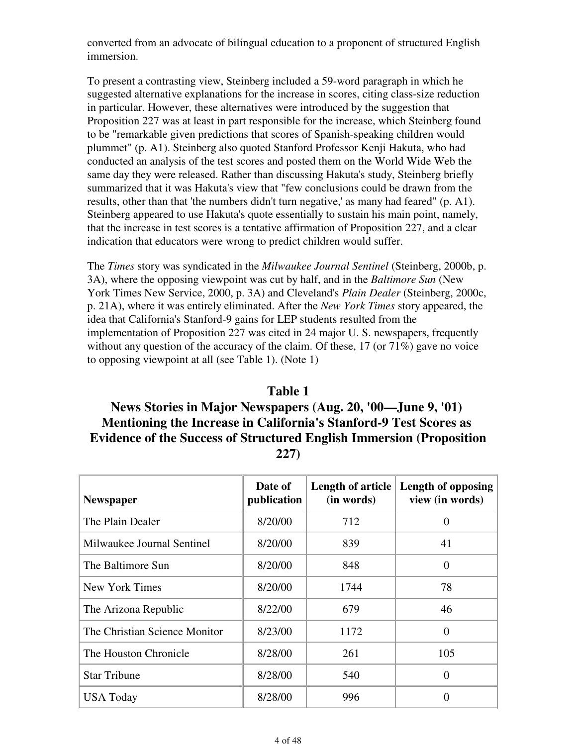converted from an advocate of bilingual education to a proponent of structured English immersion.

To present a contrasting view, Steinberg included a 59-word paragraph in which he suggested alternative explanations for the increase in scores, citing class-size reduction in particular. However, these alternatives were introduced by the suggestion that Proposition 227 was at least in part responsible for the increase, which Steinberg found to be "remarkable given predictions that scores of Spanish-speaking children would plummet" (p. A1). Steinberg also quoted Stanford Professor Kenji Hakuta, who had conducted an analysis of the test scores and posted them on the World Wide Web the same day they were released. Rather than discussing Hakuta's study, Steinberg briefly summarized that it was Hakuta's view that "few conclusions could be drawn from the results, other than that 'the numbers didn't turn negative,' as many had feared" (p. A1). Steinberg appeared to use Hakuta's quote essentially to sustain his main point, namely, that the increase in test scores is a tentative affirmation of Proposition 227, and a clear indication that educators were wrong to predict children would suffer.

The *Times* story was syndicated in the *Milwaukee Journal Sentinel* (Steinberg, 2000b, p. 3A), where the opposing viewpoint was cut by half, and in the *Baltimore Sun* (New York Times New Service, 2000, p. 3A) and Cleveland's *Plain Dealer* (Steinberg, 2000c, p. 21A), where it was entirely eliminated. After the *New York Times* story appeared, the idea that California's Stanford-9 gains for LEP students resulted from the implementation of Proposition 227 was cited in 24 major U. S. newspapers, frequently without any question of the accuracy of the claim. Of these, 17 (or 71%) gave no voice to opposing viewpoint at all (see Table 1). (Note 1)

### **Table 1 News Stories in Major Newspapers (Aug. 20, '00—June 9, '01) Mentioning the Increase in California's Stanford-9 Test Scores as Evidence of the Success of Structured English Immersion (Proposition 227)**

| <b>Newspaper</b>              | Date of<br>publication | (in words) | Length of article Length of opposing<br>view (in words) |
|-------------------------------|------------------------|------------|---------------------------------------------------------|
| The Plain Dealer              | 8/20/00                | 712        | 0                                                       |
| Milwaukee Journal Sentinel    | 8/20/00                | 839        | 41                                                      |
| The Baltimore Sun             | 8/20/00                | 848        | 0                                                       |
| New York Times                | 8/20/00                | 1744       | 78                                                      |
| The Arizona Republic          | 8/22/00                | 679        | 46                                                      |
| The Christian Science Monitor | 8/23/00                | 1172       | $\theta$                                                |
| The Houston Chronicle         | 8/28/00                | 261        | 105                                                     |
| <b>Star Tribune</b>           | 8/28/00                | 540        | $\theta$                                                |
| <b>USA Today</b>              | 8/28/00                | 996        | 0                                                       |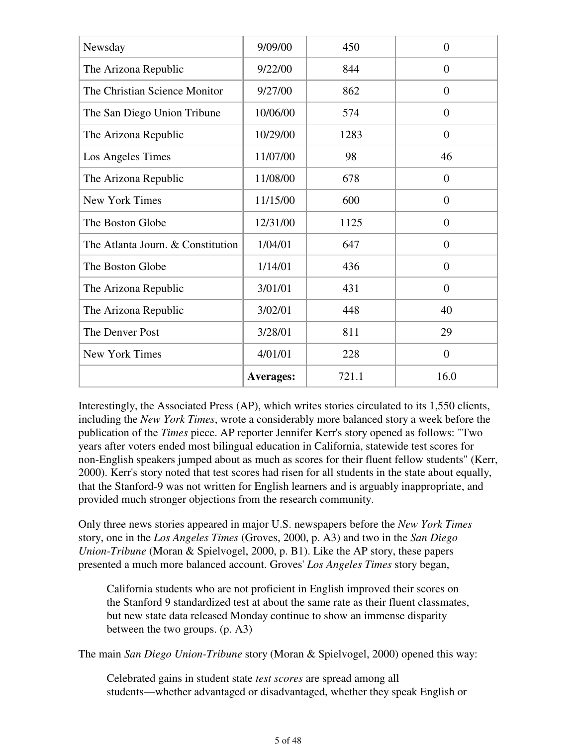| Newsday                           | 9/09/00          | 450   | $\theta$       |
|-----------------------------------|------------------|-------|----------------|
| The Arizona Republic              | 9/22/00          | 844   | $\overline{0}$ |
| The Christian Science Monitor     | 9/27/00          | 862   | $\overline{0}$ |
| The San Diego Union Tribune       | 10/06/00         | 574   | $\overline{0}$ |
| The Arizona Republic              | 10/29/00         | 1283  | $\overline{0}$ |
| Los Angeles Times                 | 11/07/00         | 98    | 46             |
| The Arizona Republic              | 11/08/00         | 678   | $\overline{0}$ |
| <b>New York Times</b>             | 11/15/00         | 600   | $\overline{0}$ |
| The Boston Globe                  | 12/31/00         | 1125  | $\overline{0}$ |
| The Atlanta Journ. & Constitution | 1/04/01          | 647   | $\overline{0}$ |
| The Boston Globe                  | 1/14/01          | 436   | $\overline{0}$ |
| The Arizona Republic              | 3/01/01          | 431   | $\overline{0}$ |
| The Arizona Republic              | 3/02/01          | 448   | 40             |
| The Denver Post                   | 3/28/01          | 811   | 29             |
| New York Times                    | 4/01/01          | 228   | $\overline{0}$ |
|                                   | <b>Averages:</b> | 721.1 | 16.0           |

Interestingly, the Associated Press (AP), which writes stories circulated to its 1,550 clients, including the *New York Times*, wrote a considerably more balanced story a week before the publication of the *Times* piece. AP reporter Jennifer Kerr's story opened as follows: "Two years after voters ended most bilingual education in California, statewide test scores for non-English speakers jumped about as much as scores for their fluent fellow students" (Kerr, 2000). Kerr's story noted that test scores had risen for all students in the state about equally, that the Stanford-9 was not written for English learners and is arguably inappropriate, and provided much stronger objections from the research community.

Only three news stories appeared in major U.S. newspapers before the *New York Times* story, one in the *Los Angeles Times* (Groves, 2000, p. A3) and two in the *San Diego Union-Tribune* (Moran & Spielvogel, 2000, p. B1). Like the AP story, these papers presented a much more balanced account. Groves' *Los Angeles Times* story began,

California students who are not proficient in English improved their scores on the Stanford 9 standardized test at about the same rate as their fluent classmates, but new state data released Monday continue to show an immense disparity between the two groups. (p. A3)

The main *San Diego Union-Tribune* story (Moran & Spielvogel, 2000) opened this way:

Celebrated gains in student state *test scores* are spread among all students—whether advantaged or disadvantaged, whether they speak English or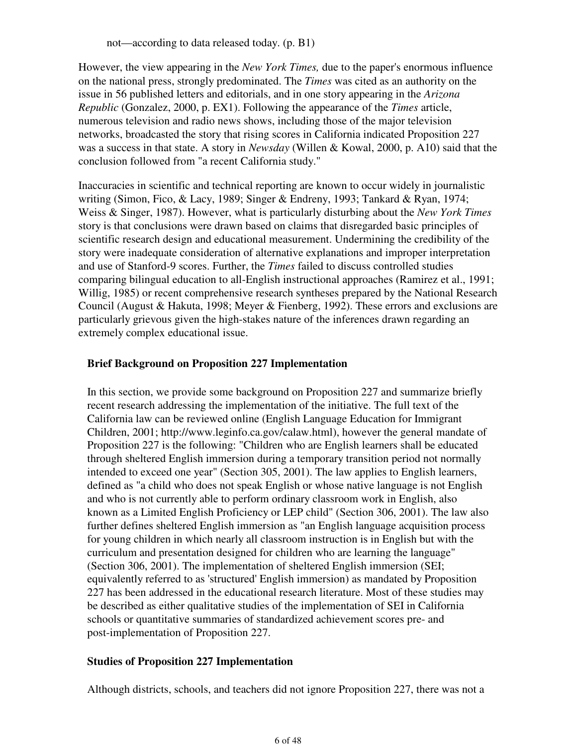not—according to data released today. (p. B1)

However, the view appearing in the *New York Times,* due to the paper's enormous influence on the national press, strongly predominated. The *Times* was cited as an authority on the issue in 56 published letters and editorials, and in one story appearing in the *Arizona Republic* (Gonzalez, 2000, p. EX1). Following the appearance of the *Times* article, numerous television and radio news shows, including those of the major television networks, broadcasted the story that rising scores in California indicated Proposition 227 was a success in that state. A story in *Newsday* (Willen & Kowal, 2000, p. A10) said that the conclusion followed from "a recent California study."

Inaccuracies in scientific and technical reporting are known to occur widely in journalistic writing (Simon, Fico, & Lacy, 1989; Singer & Endreny, 1993; Tankard & Ryan, 1974; Weiss & Singer, 1987). However, what is particularly disturbing about the *New York Times* story is that conclusions were drawn based on claims that disregarded basic principles of scientific research design and educational measurement. Undermining the credibility of the story were inadequate consideration of alternative explanations and improper interpretation and use of Stanford-9 scores. Further, the *Times* failed to discuss controlled studies comparing bilingual education to all-English instructional approaches (Ramirez et al., 1991; Willig, 1985) or recent comprehensive research syntheses prepared by the National Research Council (August & Hakuta, 1998; Meyer & Fienberg, 1992). These errors and exclusions are particularly grievous given the high-stakes nature of the inferences drawn regarding an extremely complex educational issue.

#### **Brief Background on Proposition 227 Implementation**

In this section, we provide some background on Proposition 227 and summarize briefly recent research addressing the implementation of the initiative. The full text of the California law can be reviewed online (English Language Education for Immigrant Children, 2001; http://www.leginfo.ca.gov/calaw.html), however the general mandate of Proposition 227 is the following: "Children who are English learners shall be educated through sheltered English immersion during a temporary transition period not normally intended to exceed one year" (Section 305, 2001). The law applies to English learners, defined as "a child who does not speak English or whose native language is not English and who is not currently able to perform ordinary classroom work in English, also known as a Limited English Proficiency or LEP child" (Section 306, 2001). The law also further defines sheltered English immersion as "an English language acquisition process for young children in which nearly all classroom instruction is in English but with the curriculum and presentation designed for children who are learning the language" (Section 306, 2001). The implementation of sheltered English immersion (SEI; equivalently referred to as 'structured' English immersion) as mandated by Proposition 227 has been addressed in the educational research literature. Most of these studies may be described as either qualitative studies of the implementation of SEI in California schools or quantitative summaries of standardized achievement scores pre- and post-implementation of Proposition 227.

#### **Studies of Proposition 227 Implementation**

Although districts, schools, and teachers did not ignore Proposition 227, there was not a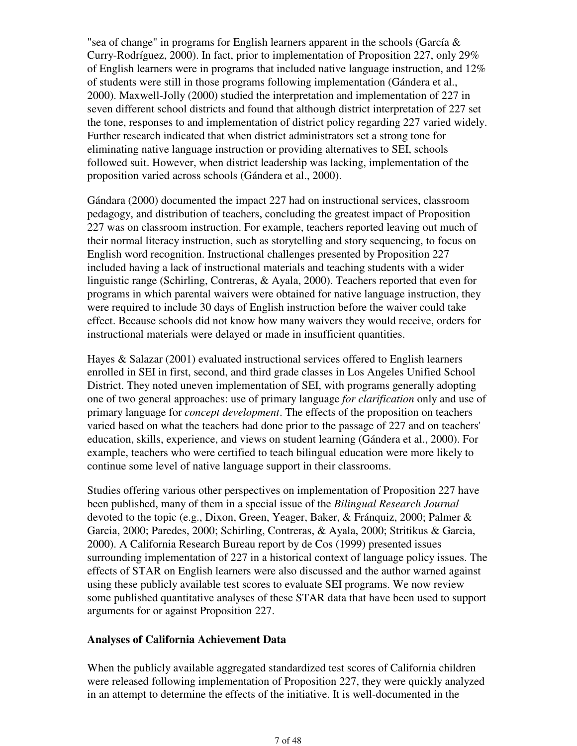"sea of change" in programs for English learners apparent in the schools (García  $\&$ Curry-Rodríguez, 2000). In fact, prior to implementation of Proposition 227, only 29% of English learners were in programs that included native language instruction, and 12% of students were still in those programs following implementation (Gándera et al., 2000). Maxwell-Jolly (2000) studied the interpretation and implementation of 227 in seven different school districts and found that although district interpretation of 227 set the tone, responses to and implementation of district policy regarding 227 varied widely. Further research indicated that when district administrators set a strong tone for eliminating native language instruction or providing alternatives to SEI, schools followed suit. However, when district leadership was lacking, implementation of the proposition varied across schools (Gándera et al., 2000).

Gándara (2000) documented the impact 227 had on instructional services, classroom pedagogy, and distribution of teachers, concluding the greatest impact of Proposition 227 was on classroom instruction. For example, teachers reported leaving out much of their normal literacy instruction, such as storytelling and story sequencing, to focus on English word recognition. Instructional challenges presented by Proposition 227 included having a lack of instructional materials and teaching students with a wider linguistic range (Schirling, Contreras, & Ayala, 2000). Teachers reported that even for programs in which parental waivers were obtained for native language instruction, they were required to include 30 days of English instruction before the waiver could take effect. Because schools did not know how many waivers they would receive, orders for instructional materials were delayed or made in insufficient quantities.

Hayes & Salazar (2001) evaluated instructional services offered to English learners enrolled in SEI in first, second, and third grade classes in Los Angeles Unified School District. They noted uneven implementation of SEI, with programs generally adopting one of two general approaches: use of primary language *for clarification* only and use of primary language for *concept development*. The effects of the proposition on teachers varied based on what the teachers had done prior to the passage of 227 and on teachers' education, skills, experience, and views on student learning (Gándera et al., 2000). For example, teachers who were certified to teach bilingual education were more likely to continue some level of native language support in their classrooms.

Studies offering various other perspectives on implementation of Proposition 227 have been published, many of them in a special issue of the *Bilingual Research Journal* devoted to the topic (e.g., Dixon, Green, Yeager, Baker, & Fránquiz, 2000; Palmer & Garcia, 2000; Paredes, 2000; Schirling, Contreras, & Ayala, 2000; Stritikus & Garcia, 2000). A California Research Bureau report by de Cos (1999) presented issues surrounding implementation of 227 in a historical context of language policy issues. The effects of STAR on English learners were also discussed and the author warned against using these publicly available test scores to evaluate SEI programs. We now review some published quantitative analyses of these STAR data that have been used to support arguments for or against Proposition 227.

#### **Analyses of California Achievement Data**

When the publicly available aggregated standardized test scores of California children were released following implementation of Proposition 227, they were quickly analyzed in an attempt to determine the effects of the initiative. It is well-documented in the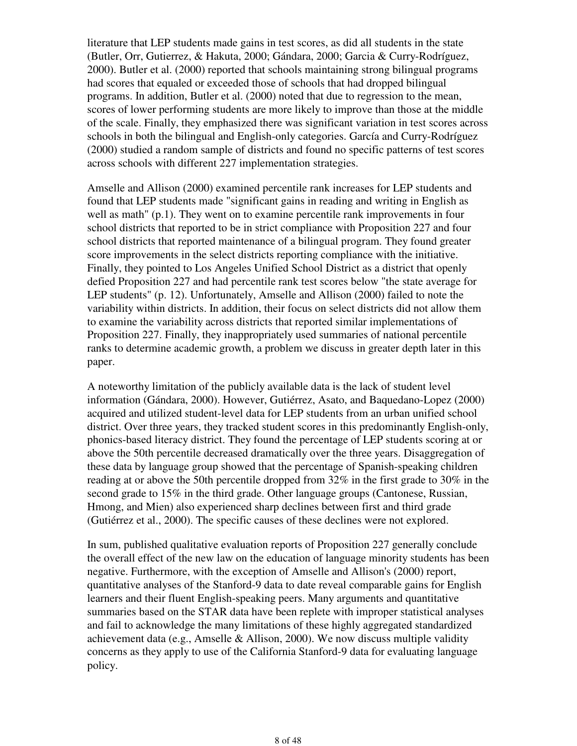literature that LEP students made gains in test scores, as did all students in the state (Butler, Orr, Gutierrez, & Hakuta, 2000; Gándara, 2000; Garcia & Curry-Rodríguez, 2000). Butler et al. (2000) reported that schools maintaining strong bilingual programs had scores that equaled or exceeded those of schools that had dropped bilingual programs. In addition, Butler et al. (2000) noted that due to regression to the mean, scores of lower performing students are more likely to improve than those at the middle of the scale. Finally, they emphasized there was significant variation in test scores across schools in both the bilingual and English-only categories. García and Curry-Rodríguez (2000) studied a random sample of districts and found no specific patterns of test scores across schools with different 227 implementation strategies.

Amselle and Allison (2000) examined percentile rank increases for LEP students and found that LEP students made "significant gains in reading and writing in English as well as math" (p.1). They went on to examine percentile rank improvements in four school districts that reported to be in strict compliance with Proposition 227 and four school districts that reported maintenance of a bilingual program. They found greater score improvements in the select districts reporting compliance with the initiative. Finally, they pointed to Los Angeles Unified School District as a district that openly defied Proposition 227 and had percentile rank test scores below "the state average for LEP students" (p. 12). Unfortunately, Amselle and Allison (2000) failed to note the variability within districts. In addition, their focus on select districts did not allow them to examine the variability across districts that reported similar implementations of Proposition 227. Finally, they inappropriately used summaries of national percentile ranks to determine academic growth, a problem we discuss in greater depth later in this paper.

A noteworthy limitation of the publicly available data is the lack of student level information (Gándara, 2000). However, Gutiérrez, Asato, and Baquedano-Lopez (2000) acquired and utilized student-level data for LEP students from an urban unified school district. Over three years, they tracked student scores in this predominantly English-only, phonics-based literacy district. They found the percentage of LEP students scoring at or above the 50th percentile decreased dramatically over the three years. Disaggregation of these data by language group showed that the percentage of Spanish-speaking children reading at or above the 50th percentile dropped from 32% in the first grade to 30% in the second grade to 15% in the third grade. Other language groups (Cantonese, Russian, Hmong, and Mien) also experienced sharp declines between first and third grade (Gutiérrez et al., 2000). The specific causes of these declines were not explored.

In sum, published qualitative evaluation reports of Proposition 227 generally conclude the overall effect of the new law on the education of language minority students has been negative. Furthermore, with the exception of Amselle and Allison's (2000) report, quantitative analyses of the Stanford-9 data to date reveal comparable gains for English learners and their fluent English-speaking peers. Many arguments and quantitative summaries based on the STAR data have been replete with improper statistical analyses and fail to acknowledge the many limitations of these highly aggregated standardized achievement data (e.g., Amselle & Allison, 2000). We now discuss multiple validity concerns as they apply to use of the California Stanford-9 data for evaluating language policy.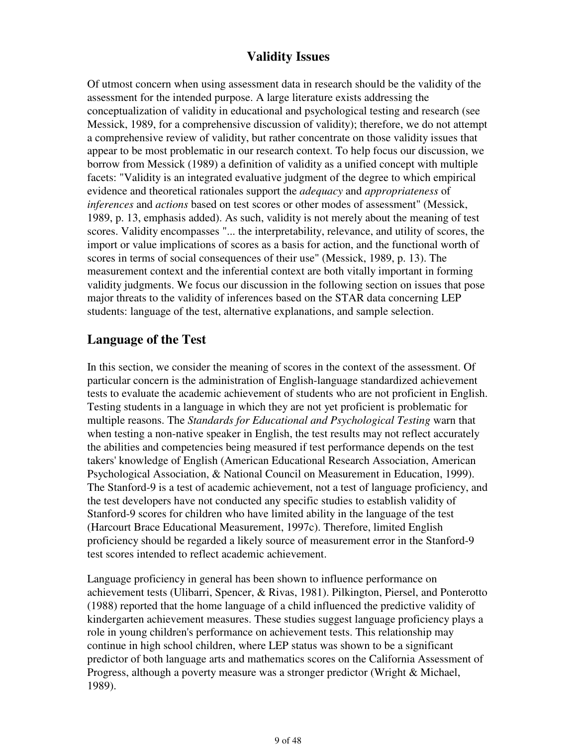### **Validity Issues**

Of utmost concern when using assessment data in research should be the validity of the assessment for the intended purpose. A large literature exists addressing the conceptualization of validity in educational and psychological testing and research (see Messick, 1989, for a comprehensive discussion of validity); therefore, we do not attempt a comprehensive review of validity, but rather concentrate on those validity issues that appear to be most problematic in our research context. To help focus our discussion, we borrow from Messick (1989) a definition of validity as a unified concept with multiple facets: "Validity is an integrated evaluative judgment of the degree to which empirical evidence and theoretical rationales support the *adequacy* and *appropriateness* of *inferences* and *actions* based on test scores or other modes of assessment" (Messick, 1989, p. 13, emphasis added). As such, validity is not merely about the meaning of test scores. Validity encompasses "... the interpretability, relevance, and utility of scores, the import or value implications of scores as a basis for action, and the functional worth of scores in terms of social consequences of their use" (Messick, 1989, p. 13). The measurement context and the inferential context are both vitally important in forming validity judgments. We focus our discussion in the following section on issues that pose major threats to the validity of inferences based on the STAR data concerning LEP students: language of the test, alternative explanations, and sample selection.

### **Language of the Test**

In this section, we consider the meaning of scores in the context of the assessment. Of particular concern is the administration of English-language standardized achievement tests to evaluate the academic achievement of students who are not proficient in English. Testing students in a language in which they are not yet proficient is problematic for multiple reasons. The *Standards for Educational and Psychological Testing* warn that when testing a non-native speaker in English, the test results may not reflect accurately the abilities and competencies being measured if test performance depends on the test takers' knowledge of English (American Educational Research Association, American Psychological Association, & National Council on Measurement in Education, 1999). The Stanford-9 is a test of academic achievement, not a test of language proficiency, and the test developers have not conducted any specific studies to establish validity of Stanford-9 scores for children who have limited ability in the language of the test (Harcourt Brace Educational Measurement, 1997c). Therefore, limited English proficiency should be regarded a likely source of measurement error in the Stanford-9 test scores intended to reflect academic achievement.

Language proficiency in general has been shown to influence performance on achievement tests (Ulibarri, Spencer, & Rivas, 1981). Pilkington, Piersel, and Ponterotto (1988) reported that the home language of a child influenced the predictive validity of kindergarten achievement measures. These studies suggest language proficiency plays a role in young children's performance on achievement tests. This relationship may continue in high school children, where LEP status was shown to be a significant predictor of both language arts and mathematics scores on the California Assessment of Progress, although a poverty measure was a stronger predictor (Wright & Michael, 1989).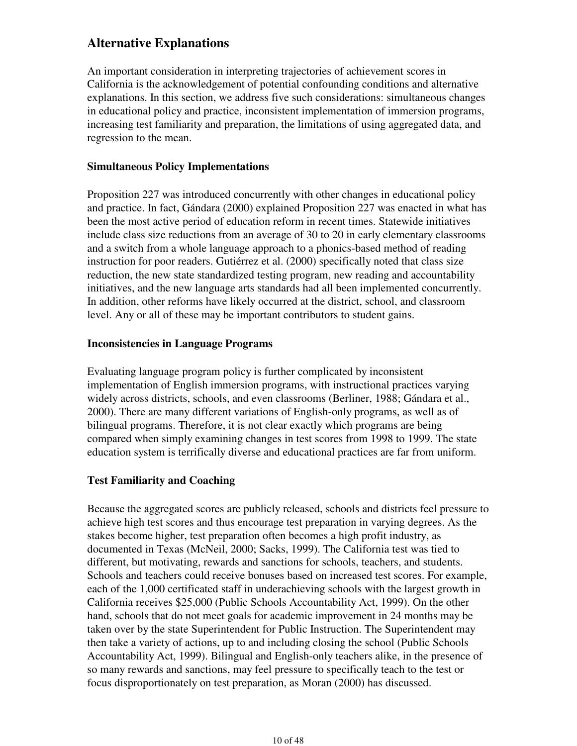# **Alternative Explanations**

An important consideration in interpreting trajectories of achievement scores in California is the acknowledgement of potential confounding conditions and alternative explanations. In this section, we address five such considerations: simultaneous changes in educational policy and practice, inconsistent implementation of immersion programs, increasing test familiarity and preparation, the limitations of using aggregated data, and regression to the mean.

#### **Simultaneous Policy Implementations**

Proposition 227 was introduced concurrently with other changes in educational policy and practice. In fact, Gándara (2000) explained Proposition 227 was enacted in what has been the most active period of education reform in recent times. Statewide initiatives include class size reductions from an average of 30 to 20 in early elementary classrooms and a switch from a whole language approach to a phonics-based method of reading instruction for poor readers. Gutiérrez et al. (2000) specifically noted that class size reduction, the new state standardized testing program, new reading and accountability initiatives, and the new language arts standards had all been implemented concurrently. In addition, other reforms have likely occurred at the district, school, and classroom level. Any or all of these may be important contributors to student gains.

#### **Inconsistencies in Language Programs**

Evaluating language program policy is further complicated by inconsistent implementation of English immersion programs, with instructional practices varying widely across districts, schools, and even classrooms (Berliner, 1988; Gándara et al., 2000). There are many different variations of English-only programs, as well as of bilingual programs. Therefore, it is not clear exactly which programs are being compared when simply examining changes in test scores from 1998 to 1999. The state education system is terrifically diverse and educational practices are far from uniform.

### **Test Familiarity and Coaching**

Because the aggregated scores are publicly released, schools and districts feel pressure to achieve high test scores and thus encourage test preparation in varying degrees. As the stakes become higher, test preparation often becomes a high profit industry, as documented in Texas (McNeil, 2000; Sacks, 1999). The California test was tied to different, but motivating, rewards and sanctions for schools, teachers, and students. Schools and teachers could receive bonuses based on increased test scores. For example, each of the 1,000 certificated staff in underachieving schools with the largest growth in California receives \$25,000 (Public Schools Accountability Act, 1999). On the other hand, schools that do not meet goals for academic improvement in 24 months may be taken over by the state Superintendent for Public Instruction. The Superintendent may then take a variety of actions, up to and including closing the school (Public Schools Accountability Act, 1999). Bilingual and English-only teachers alike, in the presence of so many rewards and sanctions, may feel pressure to specifically teach to the test or focus disproportionately on test preparation, as Moran (2000) has discussed.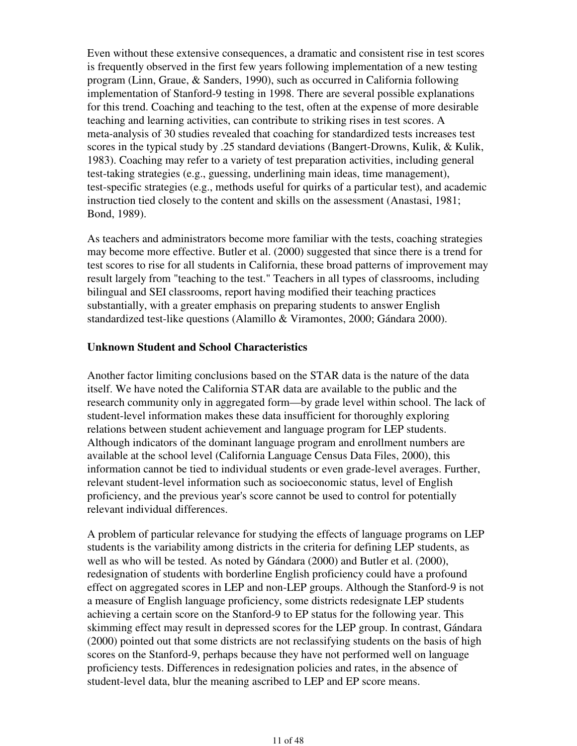Even without these extensive consequences, a dramatic and consistent rise in test scores is frequently observed in the first few years following implementation of a new testing program (Linn, Graue, & Sanders, 1990), such as occurred in California following implementation of Stanford-9 testing in 1998. There are several possible explanations for this trend. Coaching and teaching to the test, often at the expense of more desirable teaching and learning activities, can contribute to striking rises in test scores. A meta-analysis of 30 studies revealed that coaching for standardized tests increases test scores in the typical study by .25 standard deviations (Bangert-Drowns, Kulik, & Kulik, 1983). Coaching may refer to a variety of test preparation activities, including general test-taking strategies (e.g., guessing, underlining main ideas, time management), test-specific strategies (e.g., methods useful for quirks of a particular test), and academic instruction tied closely to the content and skills on the assessment (Anastasi, 1981; Bond, 1989).

As teachers and administrators become more familiar with the tests, coaching strategies may become more effective. Butler et al. (2000) suggested that since there is a trend for test scores to rise for all students in California, these broad patterns of improvement may result largely from "teaching to the test." Teachers in all types of classrooms, including bilingual and SEI classrooms, report having modified their teaching practices substantially, with a greater emphasis on preparing students to answer English standardized test-like questions (Alamillo & Viramontes, 2000; Gándara 2000).

#### **Unknown Student and School Characteristics**

Another factor limiting conclusions based on the STAR data is the nature of the data itself. We have noted the California STAR data are available to the public and the research community only in aggregated form—by grade level within school. The lack of student-level information makes these data insufficient for thoroughly exploring relations between student achievement and language program for LEP students. Although indicators of the dominant language program and enrollment numbers are available at the school level (California Language Census Data Files, 2000), this information cannot be tied to individual students or even grade-level averages. Further, relevant student-level information such as socioeconomic status, level of English proficiency, and the previous year's score cannot be used to control for potentially relevant individual differences.

A problem of particular relevance for studying the effects of language programs on LEP students is the variability among districts in the criteria for defining LEP students, as well as who will be tested. As noted by Gándara (2000) and Butler et al. (2000), redesignation of students with borderline English proficiency could have a profound effect on aggregated scores in LEP and non-LEP groups. Although the Stanford-9 is not a measure of English language proficiency, some districts redesignate LEP students achieving a certain score on the Stanford-9 to EP status for the following year. This skimming effect may result in depressed scores for the LEP group. In contrast, Gándara (2000) pointed out that some districts are not reclassifying students on the basis of high scores on the Stanford-9, perhaps because they have not performed well on language proficiency tests. Differences in redesignation policies and rates, in the absence of student-level data, blur the meaning ascribed to LEP and EP score means.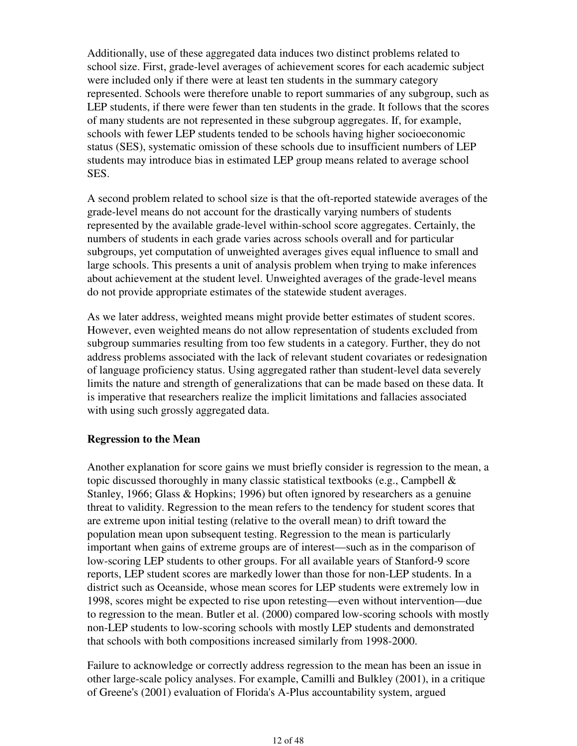Additionally, use of these aggregated data induces two distinct problems related to school size. First, grade-level averages of achievement scores for each academic subject were included only if there were at least ten students in the summary category represented. Schools were therefore unable to report summaries of any subgroup, such as LEP students, if there were fewer than ten students in the grade. It follows that the scores of many students are not represented in these subgroup aggregates. If, for example, schools with fewer LEP students tended to be schools having higher socioeconomic status (SES), systematic omission of these schools due to insufficient numbers of LEP students may introduce bias in estimated LEP group means related to average school SES.

A second problem related to school size is that the oft-reported statewide averages of the grade-level means do not account for the drastically varying numbers of students represented by the available grade-level within-school score aggregates. Certainly, the numbers of students in each grade varies across schools overall and for particular subgroups, yet computation of unweighted averages gives equal influence to small and large schools. This presents a unit of analysis problem when trying to make inferences about achievement at the student level. Unweighted averages of the grade-level means do not provide appropriate estimates of the statewide student averages.

As we later address, weighted means might provide better estimates of student scores. However, even weighted means do not allow representation of students excluded from subgroup summaries resulting from too few students in a category. Further, they do not address problems associated with the lack of relevant student covariates or redesignation of language proficiency status. Using aggregated rather than student-level data severely limits the nature and strength of generalizations that can be made based on these data. It is imperative that researchers realize the implicit limitations and fallacies associated with using such grossly aggregated data.

#### **Regression to the Mean**

Another explanation for score gains we must briefly consider is regression to the mean, a topic discussed thoroughly in many classic statistical textbooks (e.g., Campbell & Stanley, 1966; Glass & Hopkins; 1996) but often ignored by researchers as a genuine threat to validity. Regression to the mean refers to the tendency for student scores that are extreme upon initial testing (relative to the overall mean) to drift toward the population mean upon subsequent testing. Regression to the mean is particularly important when gains of extreme groups are of interest—such as in the comparison of low-scoring LEP students to other groups. For all available years of Stanford-9 score reports, LEP student scores are markedly lower than those for non-LEP students. In a district such as Oceanside, whose mean scores for LEP students were extremely low in 1998, scores might be expected to rise upon retesting—even without intervention—due to regression to the mean. Butler et al. (2000) compared low-scoring schools with mostly non-LEP students to low-scoring schools with mostly LEP students and demonstrated that schools with both compositions increased similarly from 1998-2000.

Failure to acknowledge or correctly address regression to the mean has been an issue in other large-scale policy analyses. For example, Camilli and Bulkley (2001), in a critique of Greene's (2001) evaluation of Florida's A-Plus accountability system, argued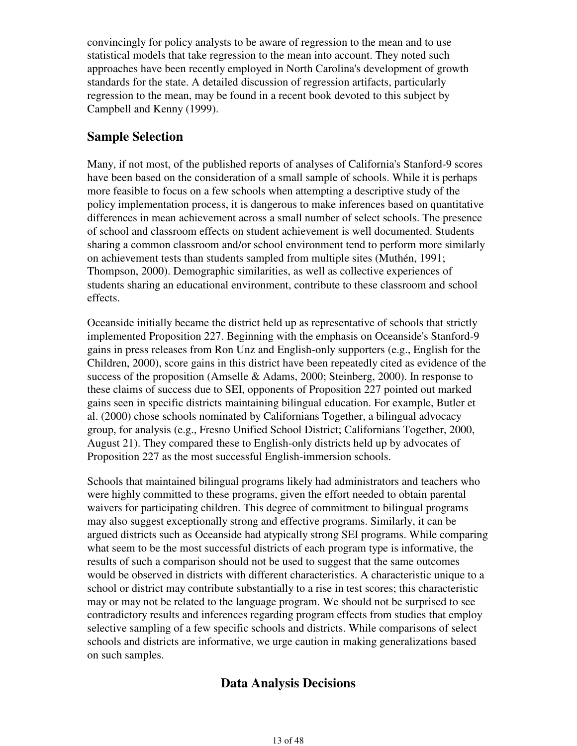convincingly for policy analysts to be aware of regression to the mean and to use statistical models that take regression to the mean into account. They noted such approaches have been recently employed in North Carolina's development of growth standards for the state. A detailed discussion of regression artifacts, particularly regression to the mean, may be found in a recent book devoted to this subject by Campbell and Kenny (1999).

### **Sample Selection**

Many, if not most, of the published reports of analyses of California's Stanford-9 scores have been based on the consideration of a small sample of schools. While it is perhaps more feasible to focus on a few schools when attempting a descriptive study of the policy implementation process, it is dangerous to make inferences based on quantitative differences in mean achievement across a small number of select schools. The presence of school and classroom effects on student achievement is well documented. Students sharing a common classroom and/or school environment tend to perform more similarly on achievement tests than students sampled from multiple sites (Muthén, 1991; Thompson, 2000). Demographic similarities, as well as collective experiences of students sharing an educational environment, contribute to these classroom and school effects.

Oceanside initially became the district held up as representative of schools that strictly implemented Proposition 227. Beginning with the emphasis on Oceanside's Stanford-9 gains in press releases from Ron Unz and English-only supporters (e.g., English for the Children, 2000), score gains in this district have been repeatedly cited as evidence of the success of the proposition (Amselle & Adams, 2000; Steinberg, 2000). In response to these claims of success due to SEI, opponents of Proposition 227 pointed out marked gains seen in specific districts maintaining bilingual education. For example, Butler et al. (2000) chose schools nominated by Californians Together, a bilingual advocacy group, for analysis (e.g., Fresno Unified School District; Californians Together, 2000, August 21). They compared these to English-only districts held up by advocates of Proposition 227 as the most successful English-immersion schools.

Schools that maintained bilingual programs likely had administrators and teachers who were highly committed to these programs, given the effort needed to obtain parental waivers for participating children. This degree of commitment to bilingual programs may also suggest exceptionally strong and effective programs. Similarly, it can be argued districts such as Oceanside had atypically strong SEI programs. While comparing what seem to be the most successful districts of each program type is informative, the results of such a comparison should not be used to suggest that the same outcomes would be observed in districts with different characteristics. A characteristic unique to a school or district may contribute substantially to a rise in test scores; this characteristic may or may not be related to the language program. We should not be surprised to see contradictory results and inferences regarding program effects from studies that employ selective sampling of a few specific schools and districts. While comparisons of select schools and districts are informative, we urge caution in making generalizations based on such samples.

### **Data Analysis Decisions**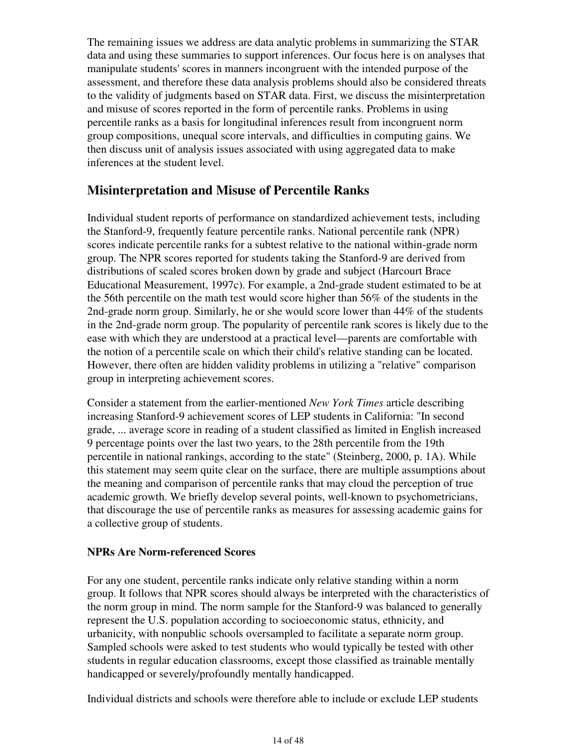The remaining issues we address are data analytic problems in summarizing the STAR data and using these summaries to support inferences. Our focus here is on analyses that manipulate students' scores in manners incongruent with the intended purpose of the assessment, and therefore these data analysis problems should also be considered threats to the validity of judgments based on STAR data. First, we discuss the misinterpretation and misuse of scores reported in the form of percentile ranks. Problems in using percentile ranks as a basis for longitudinal inferences result from incongruent norm group compositions, unequal score intervals, and difficulties in computing gains. We then discuss unit of analysis issues associated with using aggregated data to make inferences at the student level.

### **Misinterpretation and Misuse of Percentile Ranks**

Individual student reports of performance on standardized achievement tests, including the Stanford-9, frequently feature percentile ranks. National percentile rank (NPR) scores indicate percentile ranks for a subtest relative to the national within-grade norm group. The NPR scores reported for students taking the Stanford-9 are derived from distributions of scaled scores broken down by grade and subject (Harcourt Brace Educational Measurement, 1997c). For example, a 2nd-grade student estimated to be at the 56th percentile on the math test would score higher than 56% of the students in the 2nd-grade norm group. Similarly, he or she would score lower than 44% of the students in the 2nd-grade norm group. The popularity of percentile rank scores is likely due to the ease with which they are understood at a practical level—parents are comfortable with the notion of a percentile scale on which their child's relative standing can be located. However, there often are hidden validity problems in utilizing a "relative" comparison group in interpreting achievement scores.

Consider a statement from the earlier-mentioned *New York Times* article describing increasing Stanford-9 achievement scores of LEP students in California: "In second grade, ... average score in reading of a student classified as limited in English increased 9 percentage points over the last two years, to the 28th percentile from the 19th percentile in national rankings, according to the state" (Steinberg, 2000, p. 1A). While this statement may seem quite clear on the surface, there are multiple assumptions about the meaning and comparison of percentile ranks that may cloud the perception of true academic growth. We briefly develop several points, well-known to psychometricians, that discourage the use of percentile ranks as measures for assessing academic gains for a collective group of students.

### **NPRs Are Norm-referenced Scores**

For any one student, percentile ranks indicate only relative standing within a norm group. It follows that NPR scores should always be interpreted with the characteristics of the norm group in mind. The norm sample for the Stanford-9 was balanced to generally represent the U.S. population according to socioeconomic status, ethnicity, and urbanicity, with nonpublic schools oversampled to facilitate a separate norm group. Sampled schools were asked to test students who would typically be tested with other students in regular education classrooms, except those classified as trainable mentally handicapped or severely/profoundly mentally handicapped.

Individual districts and schools were therefore able to include or exclude LEP students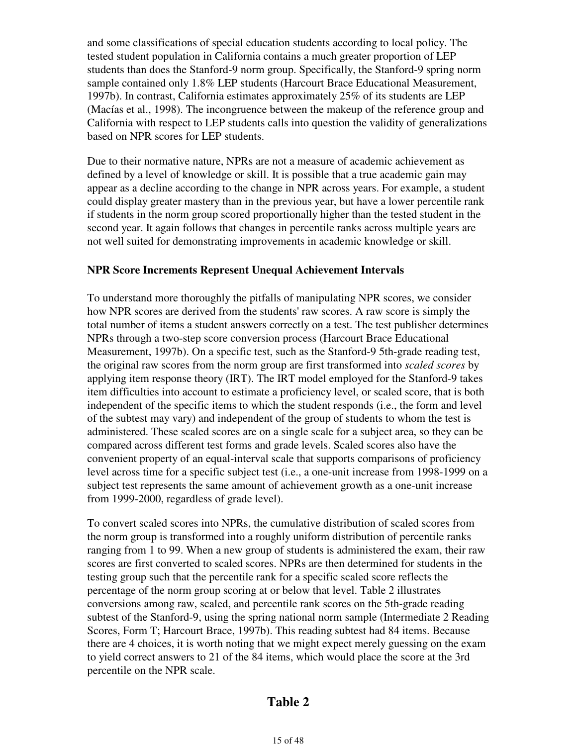and some classifications of special education students according to local policy. The tested student population in California contains a much greater proportion of LEP students than does the Stanford-9 norm group. Specifically, the Stanford-9 spring norm sample contained only 1.8% LEP students (Harcourt Brace Educational Measurement, 1997b). In contrast, California estimates approximately 25% of its students are LEP (Macías et al., 1998). The incongruence between the makeup of the reference group and California with respect to LEP students calls into question the validity of generalizations based on NPR scores for LEP students.

Due to their normative nature, NPRs are not a measure of academic achievement as defined by a level of knowledge or skill. It is possible that a true academic gain may appear as a decline according to the change in NPR across years. For example, a student could display greater mastery than in the previous year, but have a lower percentile rank if students in the norm group scored proportionally higher than the tested student in the second year. It again follows that changes in percentile ranks across multiple years are not well suited for demonstrating improvements in academic knowledge or skill.

#### **NPR Score Increments Represent Unequal Achievement Intervals**

To understand more thoroughly the pitfalls of manipulating NPR scores, we consider how NPR scores are derived from the students' raw scores. A raw score is simply the total number of items a student answers correctly on a test. The test publisher determines NPRs through a two-step score conversion process (Harcourt Brace Educational Measurement, 1997b). On a specific test, such as the Stanford-9 5th-grade reading test, the original raw scores from the norm group are first transformed into *scaled scores* by applying item response theory (IRT). The IRT model employed for the Stanford-9 takes item difficulties into account to estimate a proficiency level, or scaled score, that is both independent of the specific items to which the student responds (i.e., the form and level of the subtest may vary) and independent of the group of students to whom the test is administered. These scaled scores are on a single scale for a subject area, so they can be compared across different test forms and grade levels. Scaled scores also have the convenient property of an equal-interval scale that supports comparisons of proficiency level across time for a specific subject test (i.e., a one-unit increase from 1998-1999 on a subject test represents the same amount of achievement growth as a one-unit increase from 1999-2000, regardless of grade level).

To convert scaled scores into NPRs, the cumulative distribution of scaled scores from the norm group is transformed into a roughly uniform distribution of percentile ranks ranging from 1 to 99. When a new group of students is administered the exam, their raw scores are first converted to scaled scores. NPRs are then determined for students in the testing group such that the percentile rank for a specific scaled score reflects the percentage of the norm group scoring at or below that level. Table 2 illustrates conversions among raw, scaled, and percentile rank scores on the 5th-grade reading subtest of the Stanford-9, using the spring national norm sample (Intermediate 2 Reading Scores, Form T; Harcourt Brace, 1997b). This reading subtest had 84 items. Because there are 4 choices, it is worth noting that we might expect merely guessing on the exam to yield correct answers to 21 of the 84 items, which would place the score at the 3rd percentile on the NPR scale.

### **Table 2**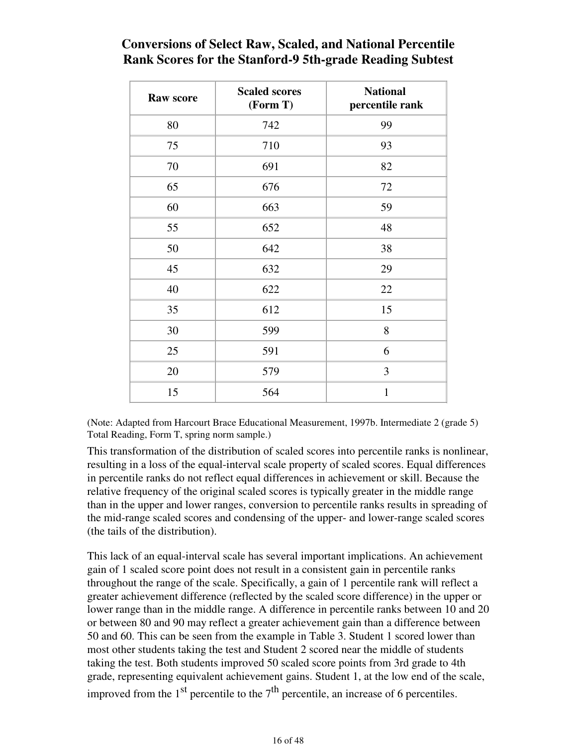# **Conversions of Select Raw, Scaled, and National Percentile Rank Scores for the Stanford-9 5th-grade Reading Subtest**

| <b>Raw score</b> | <b>Scaled scores</b><br>(Form T) | <b>National</b><br>percentile rank |  |  |  |
|------------------|----------------------------------|------------------------------------|--|--|--|
| 80               | 742                              | 99                                 |  |  |  |
| 75               | 710                              | 93                                 |  |  |  |
| 70               | 691                              | 82                                 |  |  |  |
| 65               | 676                              | 72                                 |  |  |  |
| 60               | 663                              | 59                                 |  |  |  |
| 55               | 652                              | 48                                 |  |  |  |
| 50               | 642                              | 38                                 |  |  |  |
| 45               | 632                              | 29                                 |  |  |  |
| 40               | 622                              | 22                                 |  |  |  |
| 35               | 612                              | 15                                 |  |  |  |
| 30               | 599                              | 8                                  |  |  |  |
| 25               | 591                              | 6                                  |  |  |  |
| 20               | 579                              | 3                                  |  |  |  |
| 15               | 564                              | $\mathbf{1}$                       |  |  |  |

(Note: Adapted from Harcourt Brace Educational Measurement, 1997b. Intermediate 2 (grade 5) Total Reading, Form T, spring norm sample.)

This transformation of the distribution of scaled scores into percentile ranks is nonlinear, resulting in a loss of the equal-interval scale property of scaled scores. Equal differences in percentile ranks do not reflect equal differences in achievement or skill. Because the relative frequency of the original scaled scores is typically greater in the middle range than in the upper and lower ranges, conversion to percentile ranks results in spreading of the mid-range scaled scores and condensing of the upper- and lower-range scaled scores (the tails of the distribution).

This lack of an equal-interval scale has several important implications. An achievement gain of 1 scaled score point does not result in a consistent gain in percentile ranks throughout the range of the scale. Specifically, a gain of 1 percentile rank will reflect a greater achievement difference (reflected by the scaled score difference) in the upper or lower range than in the middle range. A difference in percentile ranks between 10 and 20 or between 80 and 90 may reflect a greater achievement gain than a difference between 50 and 60. This can be seen from the example in Table 3. Student 1 scored lower than most other students taking the test and Student 2 scored near the middle of students taking the test. Both students improved 50 scaled score points from 3rd grade to 4th grade, representing equivalent achievement gains. Student 1, at the low end of the scale, improved from the  $1<sup>st</sup>$  percentile to the  $7<sup>th</sup>$  percentile, an increase of 6 percentiles.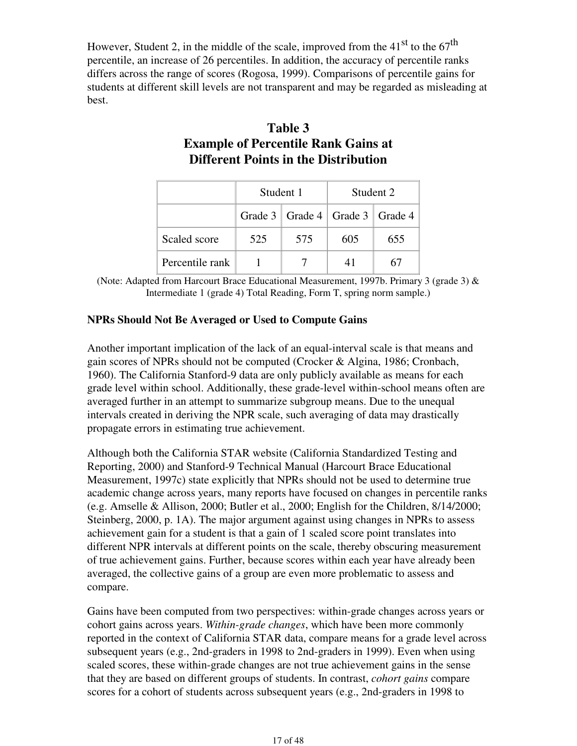However, Student 2, in the middle of the scale, improved from the  $41<sup>st</sup>$  to the  $67<sup>th</sup>$ percentile, an increase of 26 percentiles. In addition, the accuracy of percentile ranks differs across the range of scores (Rogosa, 1999). Comparisons of percentile gains for students at different skill levels are not transparent and may be regarded as misleading at best.

# **Table 3 Example of Percentile Rank Gains at Different Points in the Distribution**

|                 | Student 1                             |     | Student 2 |     |  |  |
|-----------------|---------------------------------------|-----|-----------|-----|--|--|
|                 | Grade 3   Grade 4   Grade 3   Grade 4 |     |           |     |  |  |
| Scaled score    | 525                                   | 575 | 605       | 655 |  |  |
| Percentile rank |                                       |     |           | 67  |  |  |

(Note: Adapted from Harcourt Brace Educational Measurement, 1997b. Primary 3 (grade 3) & Intermediate 1 (grade 4) Total Reading, Form T, spring norm sample.)

#### **NPRs Should Not Be Averaged or Used to Compute Gains**

Another important implication of the lack of an equal-interval scale is that means and gain scores of NPRs should not be computed (Crocker & Algina, 1986; Cronbach, 1960). The California Stanford-9 data are only publicly available as means for each grade level within school. Additionally, these grade-level within-school means often are averaged further in an attempt to summarize subgroup means. Due to the unequal intervals created in deriving the NPR scale, such averaging of data may drastically propagate errors in estimating true achievement.

Although both the California STAR website (California Standardized Testing and Reporting, 2000) and Stanford-9 Technical Manual (Harcourt Brace Educational Measurement, 1997c) state explicitly that NPRs should not be used to determine true academic change across years, many reports have focused on changes in percentile ranks (e.g. Amselle & Allison, 2000; Butler et al., 2000; English for the Children, 8/14/2000; Steinberg, 2000, p. 1A). The major argument against using changes in NPRs to assess achievement gain for a student is that a gain of 1 scaled score point translates into different NPR intervals at different points on the scale, thereby obscuring measurement of true achievement gains. Further, because scores within each year have already been averaged, the collective gains of a group are even more problematic to assess and compare.

Gains have been computed from two perspectives: within-grade changes across years or cohort gains across years. *Within-grade changes*, which have been more commonly reported in the context of California STAR data, compare means for a grade level across subsequent years (e.g., 2nd-graders in 1998 to 2nd-graders in 1999). Even when using scaled scores, these within-grade changes are not true achievement gains in the sense that they are based on different groups of students. In contrast, *cohort gains* compare scores for a cohort of students across subsequent years (e.g., 2nd-graders in 1998 to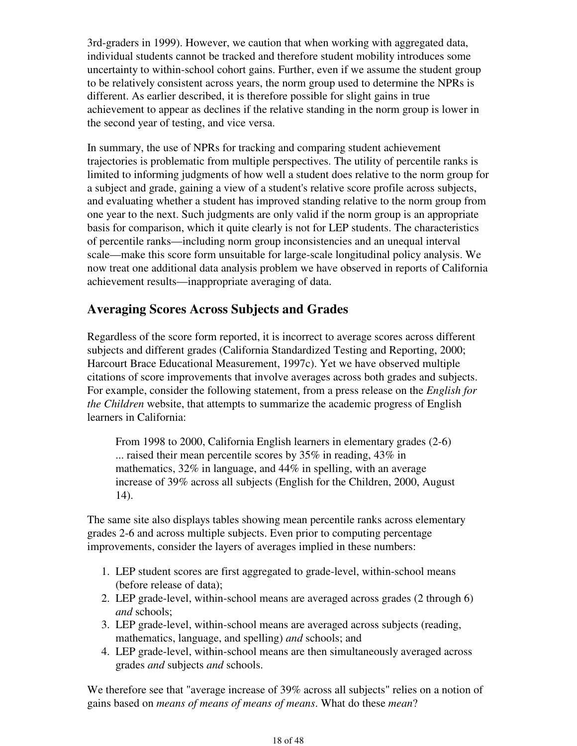3rd-graders in 1999). However, we caution that when working with aggregated data, individual students cannot be tracked and therefore student mobility introduces some uncertainty to within-school cohort gains. Further, even if we assume the student group to be relatively consistent across years, the norm group used to determine the NPRs is different. As earlier described, it is therefore possible for slight gains in true achievement to appear as declines if the relative standing in the norm group is lower in the second year of testing, and vice versa.

In summary, the use of NPRs for tracking and comparing student achievement trajectories is problematic from multiple perspectives. The utility of percentile ranks is limited to informing judgments of how well a student does relative to the norm group for a subject and grade, gaining a view of a student's relative score profile across subjects, and evaluating whether a student has improved standing relative to the norm group from one year to the next. Such judgments are only valid if the norm group is an appropriate basis for comparison, which it quite clearly is not for LEP students. The characteristics of percentile ranks—including norm group inconsistencies and an unequal interval scale—make this score form unsuitable for large-scale longitudinal policy analysis. We now treat one additional data analysis problem we have observed in reports of California achievement results—inappropriate averaging of data.

### **Averaging Scores Across Subjects and Grades**

Regardless of the score form reported, it is incorrect to average scores across different subjects and different grades (California Standardized Testing and Reporting, 2000; Harcourt Brace Educational Measurement, 1997c). Yet we have observed multiple citations of score improvements that involve averages across both grades and subjects. For example, consider the following statement, from a press release on the *English for the Children* website, that attempts to summarize the academic progress of English learners in California:

From 1998 to 2000, California English learners in elementary grades (2-6) ... raised their mean percentile scores by 35% in reading, 43% in mathematics, 32% in language, and 44% in spelling, with an average increase of 39% across all subjects (English for the Children, 2000, August 14).

The same site also displays tables showing mean percentile ranks across elementary grades 2-6 and across multiple subjects. Even prior to computing percentage improvements, consider the layers of averages implied in these numbers:

- 1. LEP student scores are first aggregated to grade-level, within-school means (before release of data);
- 2. LEP grade-level, within-school means are averaged across grades (2 through 6) *and* schools;
- LEP grade-level, within-school means are averaged across subjects (reading, 3. mathematics, language, and spelling) *and* schools; and
- LEP grade-level, within-school means are then simultaneously averaged across 4. grades *and* subjects *and* schools.

We therefore see that "average increase of 39% across all subjects" relies on a notion of gains based on *means of means of means of means*. What do these *mean*?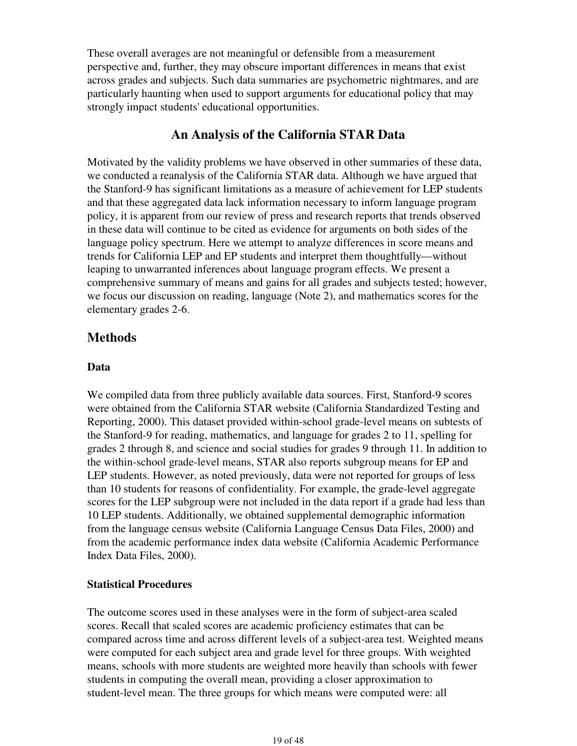These overall averages are not meaningful or defensible from a measurement perspective and, further, they may obscure important differences in means that exist across grades and subjects. Such data summaries are psychometric nightmares, and are particularly haunting when used to support arguments for educational policy that may strongly impact students' educational opportunities.

### **An Analysis of the California STAR Data**

Motivated by the validity problems we have observed in other summaries of these data, we conducted a reanalysis of the California STAR data. Although we have argued that the Stanford-9 has significant limitations as a measure of achievement for LEP students and that these aggregated data lack information necessary to inform language program policy, it is apparent from our review of press and research reports that trends observed in these data will continue to be cited as evidence for arguments on both sides of the language policy spectrum. Here we attempt to analyze differences in score means and trends for California LEP and EP students and interpret them thoughtfully—without leaping to unwarranted inferences about language program effects. We present a comprehensive summary of means and gains for all grades and subjects tested; however, we focus our discussion on reading, language (Note 2), and mathematics scores for the elementary grades 2-6.

### **Methods**

#### **Data**

We compiled data from three publicly available data sources. First, Stanford-9 scores were obtained from the California STAR website (California Standardized Testing and Reporting, 2000). This dataset provided within-school grade-level means on subtests of the Stanford-9 for reading, mathematics, and language for grades 2 to 11, spelling for grades 2 through 8, and science and social studies for grades 9 through 11. In addition to the within-school grade-level means, STAR also reports subgroup means for EP and LEP students. However, as noted previously, data were not reported for groups of less than 10 students for reasons of confidentiality. For example, the grade-level aggregate scores for the LEP subgroup were not included in the data report if a grade had less than 10 LEP students. Additionally, we obtained supplemental demographic information from the language census website (California Language Census Data Files, 2000) and from the academic performance index data website (California Academic Performance Index Data Files, 2000).

#### **Statistical Procedures**

The outcome scores used in these analyses were in the form of subject-area scaled scores. Recall that scaled scores are academic proficiency estimates that can be compared across time and across different levels of a subject-area test. Weighted means were computed for each subject area and grade level for three groups. With weighted means, schools with more students are weighted more heavily than schools with fewer students in computing the overall mean, providing a closer approximation to student-level mean. The three groups for which means were computed were: all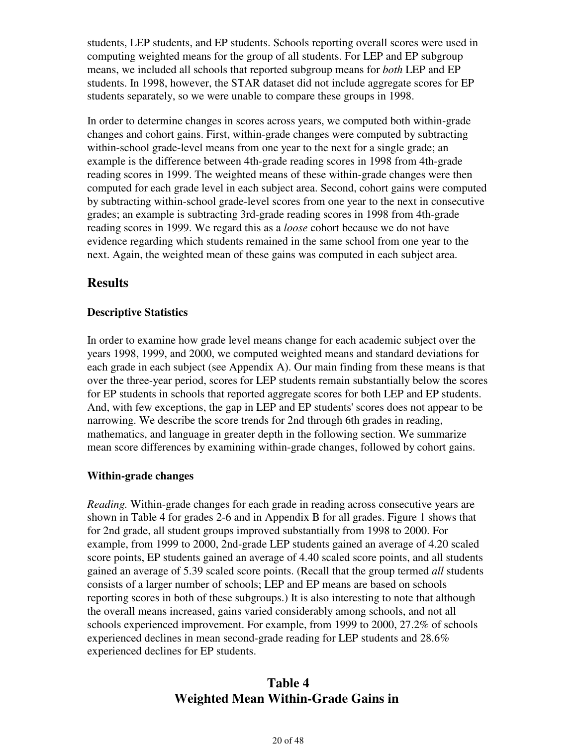students, LEP students, and EP students. Schools reporting overall scores were used in computing weighted means for the group of all students. For LEP and EP subgroup means, we included all schools that reported subgroup means for *both* LEP and EP students. In 1998, however, the STAR dataset did not include aggregate scores for EP students separately, so we were unable to compare these groups in 1998.

In order to determine changes in scores across years, we computed both within-grade changes and cohort gains. First, within-grade changes were computed by subtracting within-school grade-level means from one year to the next for a single grade; an example is the difference between 4th-grade reading scores in 1998 from 4th-grade reading scores in 1999. The weighted means of these within-grade changes were then computed for each grade level in each subject area. Second, cohort gains were computed by subtracting within-school grade-level scores from one year to the next in consecutive grades; an example is subtracting 3rd-grade reading scores in 1998 from 4th-grade reading scores in 1999. We regard this as a *loose* cohort because we do not have evidence regarding which students remained in the same school from one year to the next. Again, the weighted mean of these gains was computed in each subject area.

### **Results**

#### **Descriptive Statistics**

In order to examine how grade level means change for each academic subject over the years 1998, 1999, and 2000, we computed weighted means and standard deviations for each grade in each subject (see Appendix A). Our main finding from these means is that over the three-year period, scores for LEP students remain substantially below the scores for EP students in schools that reported aggregate scores for both LEP and EP students. And, with few exceptions, the gap in LEP and EP students' scores does not appear to be narrowing. We describe the score trends for 2nd through 6th grades in reading, mathematics, and language in greater depth in the following section. We summarize mean score differences by examining within-grade changes, followed by cohort gains.

#### **Within-grade changes**

*Reading.* Within-grade changes for each grade in reading across consecutive years are shown in Table 4 for grades 2-6 and in Appendix B for all grades. Figure 1 shows that for 2nd grade, all student groups improved substantially from 1998 to 2000. For example, from 1999 to 2000, 2nd-grade LEP students gained an average of 4.20 scaled score points, EP students gained an average of 4.40 scaled score points, and all students gained an average of 5.39 scaled score points. (Recall that the group termed *all* students consists of a larger number of schools; LEP and EP means are based on schools reporting scores in both of these subgroups.) It is also interesting to note that although the overall means increased, gains varied considerably among schools, and not all schools experienced improvement. For example, from 1999 to 2000, 27.2% of schools experienced declines in mean second-grade reading for LEP students and 28.6% experienced declines for EP students.

# **Table 4 Weighted Mean Within-Grade Gains in**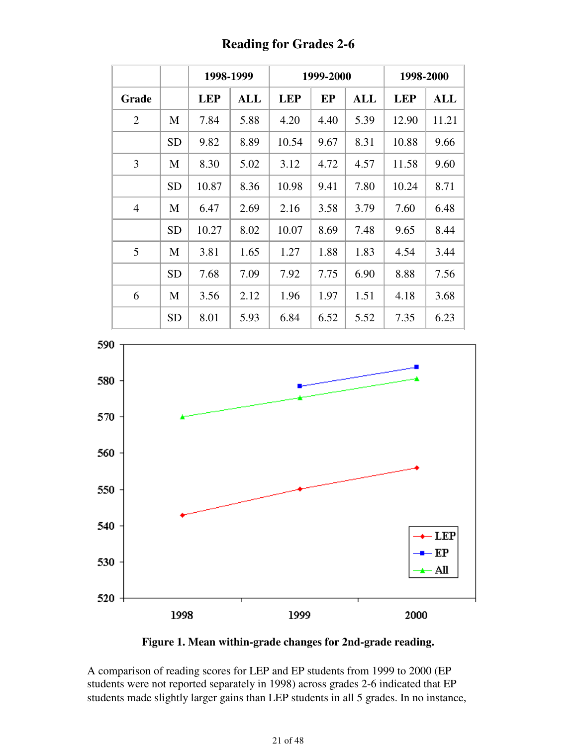|                |           | 1998-1999  |            |            | 1999-2000 |            | 1998-2000  |       |  |
|----------------|-----------|------------|------------|------------|-----------|------------|------------|-------|--|
| Grade          |           | <b>LEP</b> | <b>ALL</b> | <b>LEP</b> | EP        | <b>ALL</b> | <b>LEP</b> | ALL   |  |
| $\overline{2}$ | M         | 7.84       | 5.88       | 4.20       | 4.40      | 5.39       | 12.90      | 11.21 |  |
|                | <b>SD</b> | 9.82       | 8.89       | 10.54      | 9.67      | 8.31       | 10.88      | 9.66  |  |
| 3              | M         | 8.30       | 5.02       | 3.12       | 4.72      | 4.57       | 11.58      | 9.60  |  |
|                | <b>SD</b> | 10.87      | 8.36       | 10.98      | 9.41      | 7.80       | 10.24      | 8.71  |  |
| $\overline{4}$ | M         | 6.47       | 2.69       | 2.16       | 3.58      | 3.79       | 7.60       | 6.48  |  |
|                | <b>SD</b> | 10.27      | 8.02       | 10.07      | 8.69      | 7.48       | 9.65       | 8.44  |  |
| 5              | M         | 3.81       | 1.65       | 1.27       | 1.88      | 1.83       | 4.54       | 3.44  |  |
|                | <b>SD</b> | 7.68       | 7.09       | 7.92       | 7.75      | 6.90       | 8.88       | 7.56  |  |
| 6              | M         | 3.56       | 2.12       | 1.96       | 1.97      | 1.51       | 4.18       | 3.68  |  |
|                | <b>SD</b> | 8.01       | 5.93       | 6.84       | 6.52      | 5.52       | 7.35       | 6.23  |  |

**Reading for Grades 2-6**



**Figure 1. Mean within-grade changes for 2nd-grade reading.**

A comparison of reading scores for LEP and EP students from 1999 to 2000 (EP students were not reported separately in 1998) across grades 2-6 indicated that EP students made slightly larger gains than LEP students in all 5 grades. In no instance,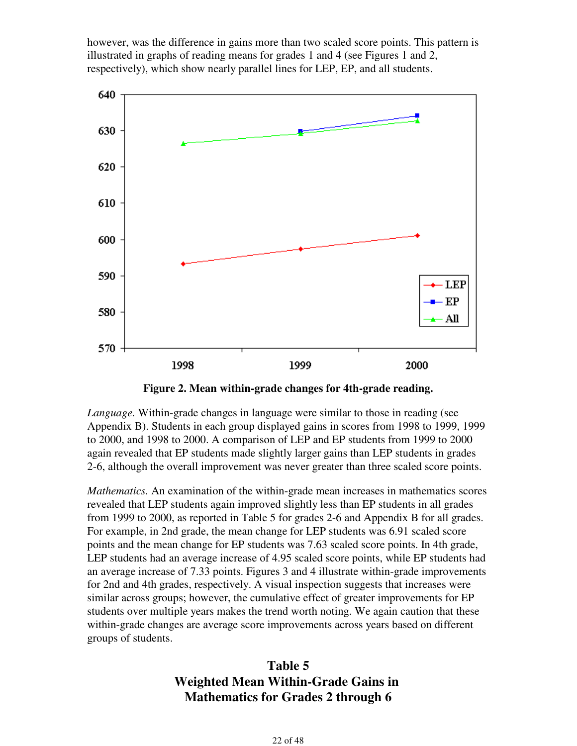however, was the difference in gains more than two scaled score points. This pattern is illustrated in graphs of reading means for grades 1 and 4 (see Figures 1 and 2, respectively), which show nearly parallel lines for LEP, EP, and all students.



**Figure 2. Mean within-grade changes for 4th-grade reading.**

*Language.* Within-grade changes in language were similar to those in reading (see Appendix B). Students in each group displayed gains in scores from 1998 to 1999, 1999 to 2000, and 1998 to 2000. A comparison of LEP and EP students from 1999 to 2000 again revealed that EP students made slightly larger gains than LEP students in grades 2-6, although the overall improvement was never greater than three scaled score points.

*Mathematics.* An examination of the within-grade mean increases in mathematics scores revealed that LEP students again improved slightly less than EP students in all grades from 1999 to 2000, as reported in Table 5 for grades 2-6 and Appendix B for all grades. For example, in 2nd grade, the mean change for LEP students was 6.91 scaled score points and the mean change for EP students was 7.63 scaled score points. In 4th grade, LEP students had an average increase of 4.95 scaled score points, while EP students had an average increase of 7.33 points. Figures 3 and 4 illustrate within-grade improvements for 2nd and 4th grades, respectively. A visual inspection suggests that increases were similar across groups; however, the cumulative effect of greater improvements for EP students over multiple years makes the trend worth noting. We again caution that these within-grade changes are average score improvements across years based on different groups of students.

# **Table 5 Weighted Mean Within-Grade Gains in Mathematics for Grades 2 through 6**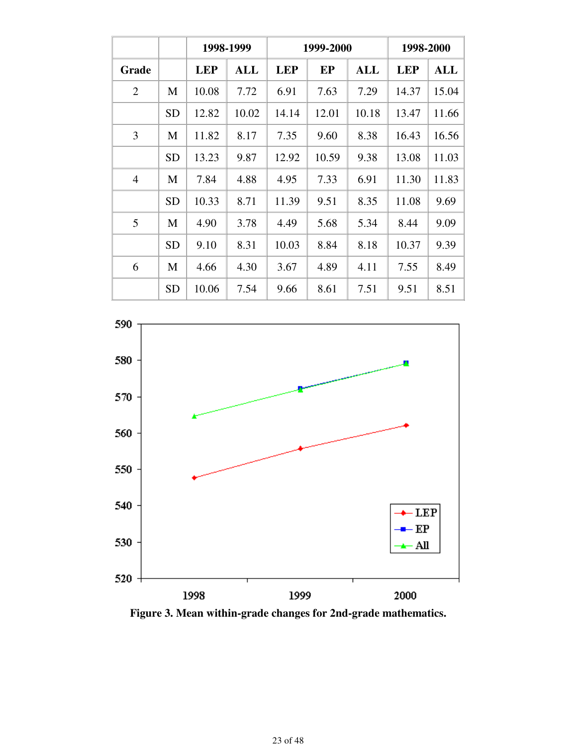|                |           |            | 1998-1999  |            | 1999-2000 |       | 1998-2000  |            |  |
|----------------|-----------|------------|------------|------------|-----------|-------|------------|------------|--|
| Grade          |           | <b>LEP</b> | <b>ALL</b> | <b>LEP</b> | EP        | ALL   | <b>LEP</b> | <b>ALL</b> |  |
| $\overline{2}$ | M         | 10.08      | 7.72       | 6.91       | 7.63      | 7.29  | 14.37      | 15.04      |  |
|                | <b>SD</b> | 12.82      | 10.02      | 14.14      | 12.01     | 10.18 | 13.47      | 11.66      |  |
| 3              | M         | 11.82      | 8.17       | 7.35       | 9.60      | 8.38  | 16.43      | 16.56      |  |
|                | <b>SD</b> | 13.23      | 9.87       | 12.92      | 10.59     | 9.38  | 13.08      | 11.03      |  |
| $\overline{4}$ | M         | 7.84       | 4.88       | 4.95       | 7.33      | 6.91  | 11.30      | 11.83      |  |
|                | <b>SD</b> | 10.33      | 8.71       | 11.39      | 9.51      | 8.35  | 11.08      | 9.69       |  |
| 5              | M         | 4.90       | 3.78       | 4.49       | 5.68      | 5.34  | 8.44       | 9.09       |  |
|                | <b>SD</b> | 9.10       | 8.31       | 10.03      | 8.84      | 8.18  | 10.37      | 9.39       |  |
| 6              | M         | 4.66       | 4.30       | 3.67       | 4.89      | 4.11  | 7.55       | 8.49       |  |
|                | <b>SD</b> | 10.06      | 7.54       | 9.66       | 8.61      | 7.51  | 9.51       | 8.51       |  |



**Figure 3. Mean within-grade changes for 2nd-grade mathematics.**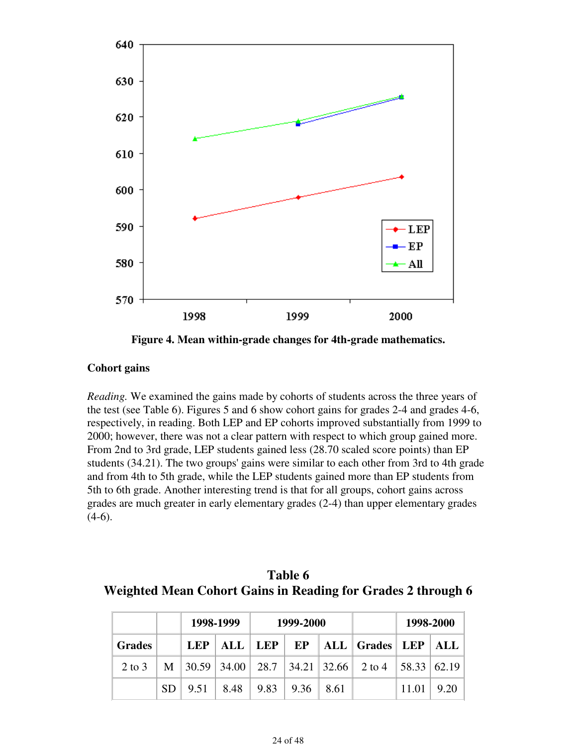

**Figure 4. Mean within-grade changes for 4th-grade mathematics.**

#### **Cohort gains**

*Reading.* We examined the gains made by cohorts of students across the three years of the test (see Table 6). Figures 5 and 6 show cohort gains for grades 2-4 and grades 4-6, respectively, in reading. Both LEP and EP cohorts improved substantially from 1999 to 2000; however, there was not a clear pattern with respect to which group gained more. From 2nd to 3rd grade, LEP students gained less (28.70 scaled score points) than EP students (34.21). The two groups' gains were similar to each other from 3rd to 4th grade and from 4th to 5th grade, while the LEP students gained more than EP students from 5th to 6th grade. Another interesting trend is that for all groups, cohort gains across grades are much greater in early elementary grades (2-4) than upper elementary grades  $(4-6)$ .

**Table 6 Weighted Mean Cohort Gains in Reading for Grades 2 through 6**

|                    |  | 1998-1999                             | 1999-2000 |                                                                   | 1998-2000 |      |
|--------------------|--|---------------------------------------|-----------|-------------------------------------------------------------------|-----------|------|
| <b>Grades</b>      |  |                                       |           | LEP   ALL   LEP   EP   ALL   Grades   LEP   ALL                   |           |      |
| 2 to 3 $\parallel$ |  |                                       |           | M   30.59   34.00   28.7   34.21   32.66   2 to 4   58.33   62.19 |           |      |
|                    |  | $SD$ 9.51   8.48   9.83   9.36   8.61 |           |                                                                   | 11.01     | 9.20 |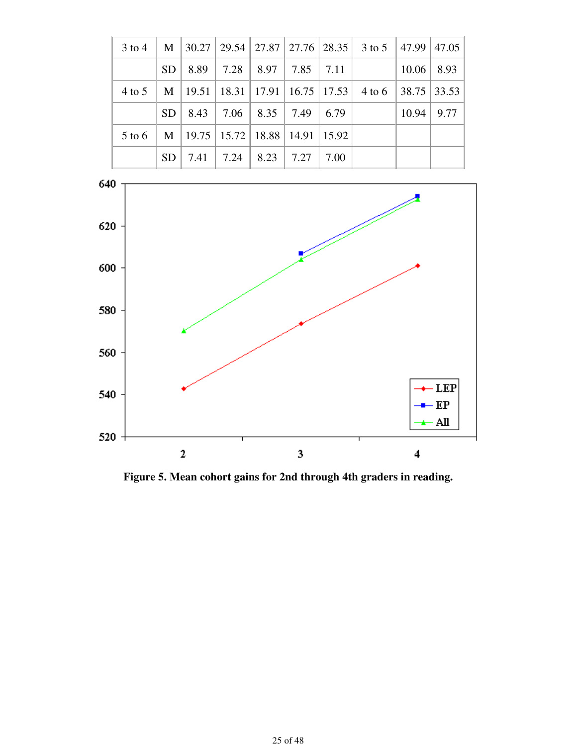|                   |  |                                                        |  | $3 \text{ to } 4 \mid M \mid 30.27 \mid 29.54 \mid 27.87 \mid 27.76 \mid 28.35 \mid 3 \text{ to } 5 \mid 47.99 \mid 47.05$ |              |  |
|-------------------|--|--------------------------------------------------------|--|----------------------------------------------------------------------------------------------------------------------------|--------------|--|
|                   |  | $SD \mid 8.89 \mid 7.28 \mid 8.97 \mid 7.85 \mid 7.11$ |  |                                                                                                                            | $10.06$ 8.93 |  |
|                   |  |                                                        |  | 4 to 5   M   19.51   18.31   17.91   16.75   17.53   4 to 6   38.75   33.53                                                |              |  |
|                   |  | $SD \mid 8.43 \mid 7.06 \mid 8.35 \mid 7.49 \mid 6.79$ |  |                                                                                                                            | $10.94$ 9.77 |  |
| $5 \text{ to } 6$ |  | $\mid$ M $\mid$ 19.75   15.72   18.88   14.91   15.92  |  |                                                                                                                            |              |  |
|                   |  | $SD$   7.41   7.24   8.23   7.27   7.00                |  |                                                                                                                            |              |  |



**Figure 5. Mean cohort gains for 2nd through 4th graders in reading.**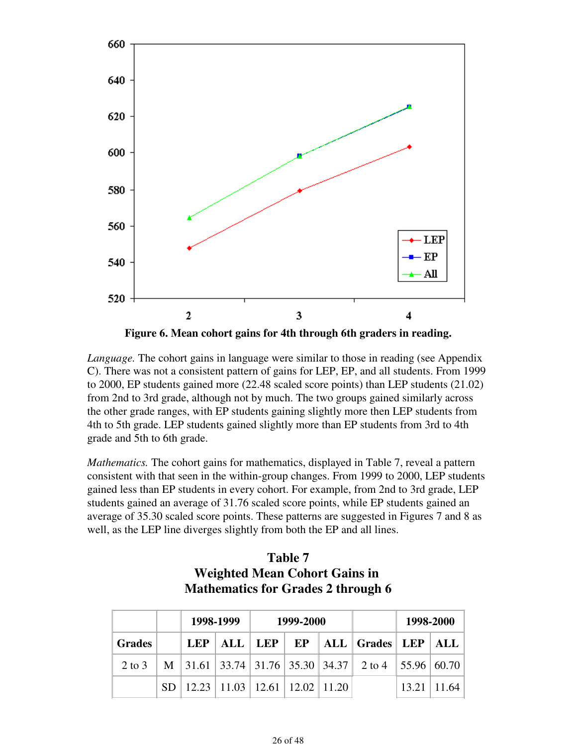

**Figure 6. Mean cohort gains for 4th through 6th graders in reading.**

*Language.* The cohort gains in language were similar to those in reading (see Appendix C). There was not a consistent pattern of gains for LEP, EP, and all students. From 1999 to 2000, EP students gained more (22.48 scaled score points) than LEP students (21.02) from 2nd to 3rd grade, although not by much. The two groups gained similarly across the other grade ranges, with EP students gaining slightly more then LEP students from 4th to 5th grade. LEP students gained slightly more than EP students from 3rd to 4th grade and 5th to 6th grade.

*Mathematics.* The cohort gains for mathematics, displayed in Table 7, reveal a pattern consistent with that seen in the within-group changes. From 1999 to 2000, LEP students gained less than EP students in every cohort. For example, from 2nd to 3rd grade, LEP students gained an average of 31.76 scaled score points, while EP students gained an average of 35.30 scaled score points. These patterns are suggested in Figures 7 and 8 as well, as the LEP line diverges slightly from both the EP and all lines.

|               | <b>Mathematics for Grades 2 through 6</b> |                                            |           |  |           |  |                                                    |                    |  |  |  |  |
|---------------|-------------------------------------------|--------------------------------------------|-----------|--|-----------|--|----------------------------------------------------|--------------------|--|--|--|--|
|               |                                           |                                            | 1998-1999 |  | 1999-2000 |  |                                                    | 1998-2000          |  |  |  |  |
| <b>Grades</b> |                                           | LEP                                        |           |  |           |  | ALL   LEP   EP   ALL   Grades   LEP   ALL          |                    |  |  |  |  |
| 2 to 3        |                                           |                                            |           |  |           |  | M 31.61 33.74 31.76 35.30 34.37 2 to 4 55.96 60.70 |                    |  |  |  |  |
|               |                                           | SD   12.23   11.03   12.61   12.02   11.20 |           |  |           |  |                                                    | $13.21 \mid 11.64$ |  |  |  |  |

| Table 7                                   |
|-------------------------------------------|
| <b>Weighted Mean Cohort Gains in</b>      |
| <b>Mathematics for Grades 2 through 6</b> |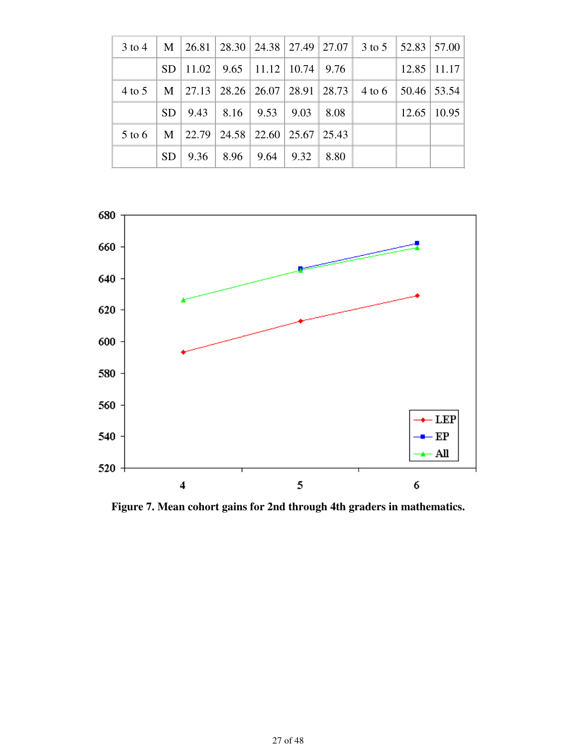|        |                 |                                            |                                                |  | 3 to 4   M   26.81   28.30   24.38   27.49   27.07   3 to 5   52.83   57.00 |                         |
|--------|-----------------|--------------------------------------------|------------------------------------------------|--|-----------------------------------------------------------------------------|-------------------------|
|        |                 | $SD$   11.02   9.65   11.12   10.74   9.76 |                                                |  |                                                                             | $12.85$   11.17         |
|        |                 |                                            |                                                |  | 4 to 5   M   27.13   28.26   26.07   28.91   28.73   4 to 6   50.46   53.54 |                         |
|        |                 | $SD$   9.43   8.16   9.53   9.03   8.08    |                                                |  |                                                                             | $12.65 \mid 10.95 \mid$ |
| 5 to 6 |                 | M   22.79   24.58   22.60   25.67   25.43  |                                                |  |                                                                             |                         |
|        | SD <sub>1</sub> |                                            | $9.36 \div 8.96 \div 9.64 \div 9.32 \div 8.80$ |  |                                                                             |                         |



**Figure 7. Mean cohort gains for 2nd through 4th graders in mathematics.**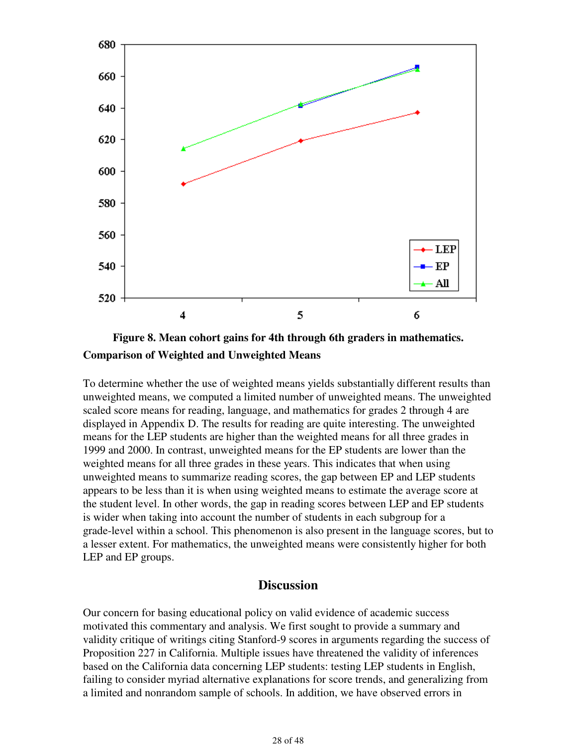



To determine whether the use of weighted means yields substantially different results than unweighted means, we computed a limited number of unweighted means. The unweighted scaled score means for reading, language, and mathematics for grades 2 through 4 are displayed in Appendix D. The results for reading are quite interesting. The unweighted means for the LEP students are higher than the weighted means for all three grades in 1999 and 2000. In contrast, unweighted means for the EP students are lower than the weighted means for all three grades in these years. This indicates that when using unweighted means to summarize reading scores, the gap between EP and LEP students appears to be less than it is when using weighted means to estimate the average score at the student level. In other words, the gap in reading scores between LEP and EP students is wider when taking into account the number of students in each subgroup for a grade-level within a school. This phenomenon is also present in the language scores, but to a lesser extent. For mathematics, the unweighted means were consistently higher for both LEP and EP groups.

### **Discussion**

Our concern for basing educational policy on valid evidence of academic success motivated this commentary and analysis. We first sought to provide a summary and validity critique of writings citing Stanford-9 scores in arguments regarding the success of Proposition 227 in California. Multiple issues have threatened the validity of inferences based on the California data concerning LEP students: testing LEP students in English, failing to consider myriad alternative explanations for score trends, and generalizing from a limited and nonrandom sample of schools. In addition, we have observed errors in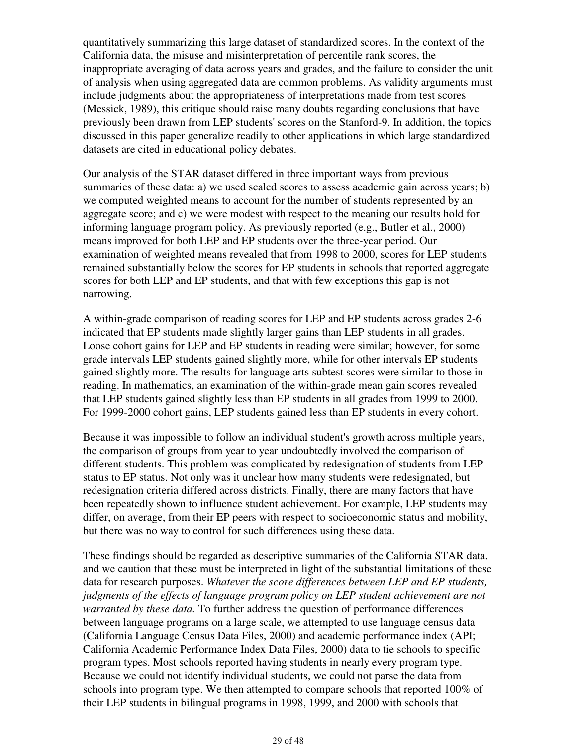quantitatively summarizing this large dataset of standardized scores. In the context of the California data, the misuse and misinterpretation of percentile rank scores, the inappropriate averaging of data across years and grades, and the failure to consider the unit of analysis when using aggregated data are common problems. As validity arguments must include judgments about the appropriateness of interpretations made from test scores (Messick, 1989), this critique should raise many doubts regarding conclusions that have previously been drawn from LEP students' scores on the Stanford-9. In addition, the topics discussed in this paper generalize readily to other applications in which large standardized datasets are cited in educational policy debates.

Our analysis of the STAR dataset differed in three important ways from previous summaries of these data: a) we used scaled scores to assess academic gain across years; b) we computed weighted means to account for the number of students represented by an aggregate score; and c) we were modest with respect to the meaning our results hold for informing language program policy. As previously reported (e.g., Butler et al., 2000) means improved for both LEP and EP students over the three-year period. Our examination of weighted means revealed that from 1998 to 2000, scores for LEP students remained substantially below the scores for EP students in schools that reported aggregate scores for both LEP and EP students, and that with few exceptions this gap is not narrowing.

A within-grade comparison of reading scores for LEP and EP students across grades 2-6 indicated that EP students made slightly larger gains than LEP students in all grades. Loose cohort gains for LEP and EP students in reading were similar; however, for some grade intervals LEP students gained slightly more, while for other intervals EP students gained slightly more. The results for language arts subtest scores were similar to those in reading. In mathematics, an examination of the within-grade mean gain scores revealed that LEP students gained slightly less than EP students in all grades from 1999 to 2000. For 1999-2000 cohort gains, LEP students gained less than EP students in every cohort.

Because it was impossible to follow an individual student's growth across multiple years, the comparison of groups from year to year undoubtedly involved the comparison of different students. This problem was complicated by redesignation of students from LEP status to EP status. Not only was it unclear how many students were redesignated, but redesignation criteria differed across districts. Finally, there are many factors that have been repeatedly shown to influence student achievement. For example, LEP students may differ, on average, from their EP peers with respect to socioeconomic status and mobility, but there was no way to control for such differences using these data.

These findings should be regarded as descriptive summaries of the California STAR data, and we caution that these must be interpreted in light of the substantial limitations of these data for research purposes. *Whatever the score differences between LEP and EP students, judgments of the effects of language program policy on LEP student achievement are not warranted by these data.* To further address the question of performance differences between language programs on a large scale, we attempted to use language census data (California Language Census Data Files, 2000) and academic performance index (API; California Academic Performance Index Data Files, 2000) data to tie schools to specific program types. Most schools reported having students in nearly every program type. Because we could not identify individual students, we could not parse the data from schools into program type. We then attempted to compare schools that reported 100% of their LEP students in bilingual programs in 1998, 1999, and 2000 with schools that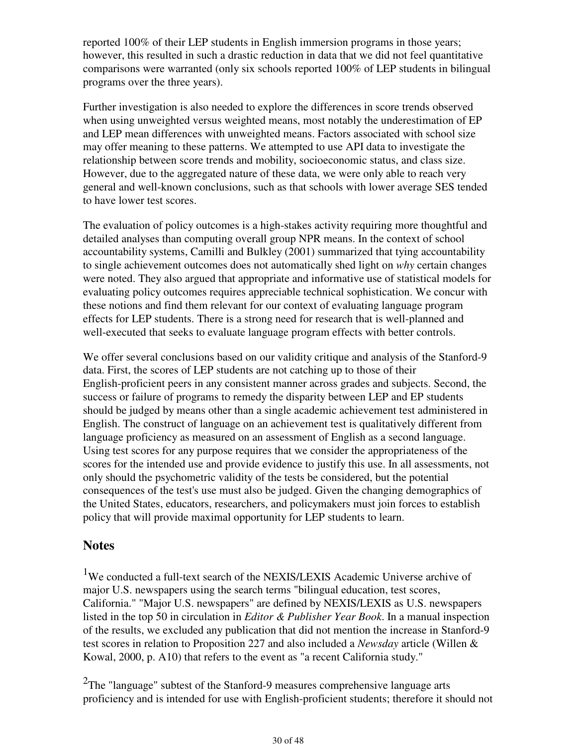reported 100% of their LEP students in English immersion programs in those years; however, this resulted in such a drastic reduction in data that we did not feel quantitative comparisons were warranted (only six schools reported 100% of LEP students in bilingual programs over the three years).

Further investigation is also needed to explore the differences in score trends observed when using unweighted versus weighted means, most notably the underestimation of EP and LEP mean differences with unweighted means. Factors associated with school size may offer meaning to these patterns. We attempted to use API data to investigate the relationship between score trends and mobility, socioeconomic status, and class size. However, due to the aggregated nature of these data, we were only able to reach very general and well-known conclusions, such as that schools with lower average SES tended to have lower test scores.

The evaluation of policy outcomes is a high-stakes activity requiring more thoughtful and detailed analyses than computing overall group NPR means. In the context of school accountability systems, Camilli and Bulkley (2001) summarized that tying accountability to single achievement outcomes does not automatically shed light on *why* certain changes were noted. They also argued that appropriate and informative use of statistical models for evaluating policy outcomes requires appreciable technical sophistication. We concur with these notions and find them relevant for our context of evaluating language program effects for LEP students. There is a strong need for research that is well-planned and well-executed that seeks to evaluate language program effects with better controls.

We offer several conclusions based on our validity critique and analysis of the Stanford-9 data. First, the scores of LEP students are not catching up to those of their English-proficient peers in any consistent manner across grades and subjects. Second, the success or failure of programs to remedy the disparity between LEP and EP students should be judged by means other than a single academic achievement test administered in English. The construct of language on an achievement test is qualitatively different from language proficiency as measured on an assessment of English as a second language. Using test scores for any purpose requires that we consider the appropriateness of the scores for the intended use and provide evidence to justify this use. In all assessments, not only should the psychometric validity of the tests be considered, but the potential consequences of the test's use must also be judged. Given the changing demographics of the United States, educators, researchers, and policymakers must join forces to establish policy that will provide maximal opportunity for LEP students to learn.

### **Notes**

<sup>1</sup>We conducted a full-text search of the NEXIS/LEXIS Academic Universe archive of major U.S. newspapers using the search terms "bilingual education, test scores, California." "Major U.S. newspapers" are defined by NEXIS/LEXIS as U.S. newspapers listed in the top 50 in circulation in *Editor & Publisher Year Book*. In a manual inspection of the results, we excluded any publication that did not mention the increase in Stanford-9 test scores in relation to Proposition 227 and also included a *Newsday* article (Willen & Kowal, 2000, p. A10) that refers to the event as "a recent California study."

 $2$ The "language" subtest of the Stanford-9 measures comprehensive language arts proficiency and is intended for use with English-proficient students; therefore it should not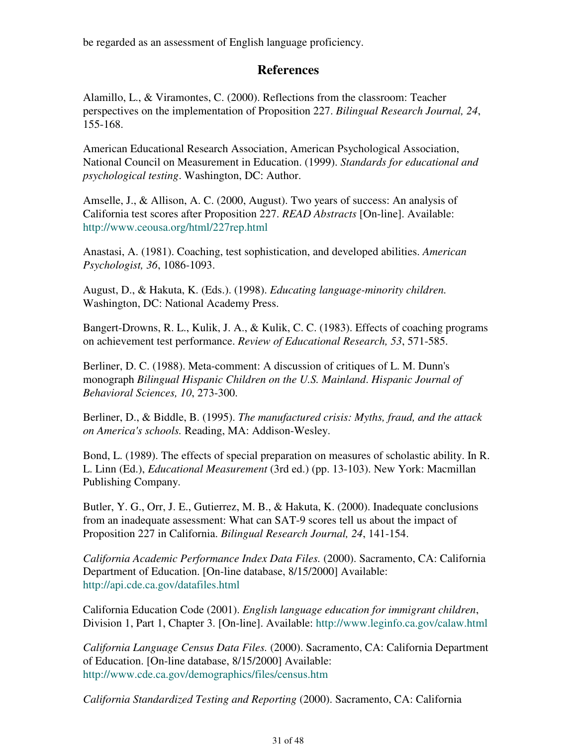be regarded as an assessment of English language proficiency.

## **References**

Alamillo, L., & Viramontes, C. (2000). Reflections from the classroom: Teacher perspectives on the implementation of Proposition 227. *Bilingual Research Journal, 24*, 155-168.

American Educational Research Association, American Psychological Association, National Council on Measurement in Education. (1999). *Standards for educational and psychological testing*. Washington, DC: Author.

Amselle, J., & Allison, A. C. (2000, August). Two years of success: An analysis of California test scores after Proposition 227. *READ Abstracts* [On-line]. Available: http://www.ceousa.org/html/227rep.html

Anastasi, A. (1981). Coaching, test sophistication, and developed abilities. *American Psychologist, 36*, 1086-1093.

August, D., & Hakuta, K. (Eds.). (1998). *Educating language-minority children.* Washington, DC: National Academy Press.

Bangert-Drowns, R. L., Kulik, J. A., & Kulik, C. C. (1983). Effects of coaching programs on achievement test performance. *Review of Educational Research, 53*, 571-585.

Berliner, D. C. (1988). Meta-comment: A discussion of critiques of L. M. Dunn's monograph *Bilingual Hispanic Children on the U.S. Mainland*. *Hispanic Journal of Behavioral Sciences, 10*, 273-300.

Berliner, D., & Biddle, B. (1995). *The manufactured crisis: Myths, fraud, and the attack on America's schools.* Reading, MA: Addison-Wesley.

Bond, L. (1989). The effects of special preparation on measures of scholastic ability. In R. L. Linn (Ed.), *Educational Measurement* (3rd ed.) (pp. 13-103). New York: Macmillan Publishing Company.

Butler, Y. G., Orr, J. E., Gutierrez, M. B., & Hakuta, K. (2000). Inadequate conclusions from an inadequate assessment: What can SAT-9 scores tell us about the impact of Proposition 227 in California. *Bilingual Research Journal, 24*, 141-154.

*California Academic Performance Index Data Files.* (2000). Sacramento, CA: California Department of Education. [On-line database, 8/15/2000] Available: http://api.cde.ca.gov/datafiles.html

California Education Code (2001). *English language education for immigrant children*, Division 1, Part 1, Chapter 3. [On-line]. Available: http://www.leginfo.ca.gov/calaw.html

*California Language Census Data Files.* (2000). Sacramento, CA: California Department of Education. [On-line database, 8/15/2000] Available: http://www.cde.ca.gov/demographics/files/census.htm

*California Standardized Testing and Reporting* (2000). Sacramento, CA: California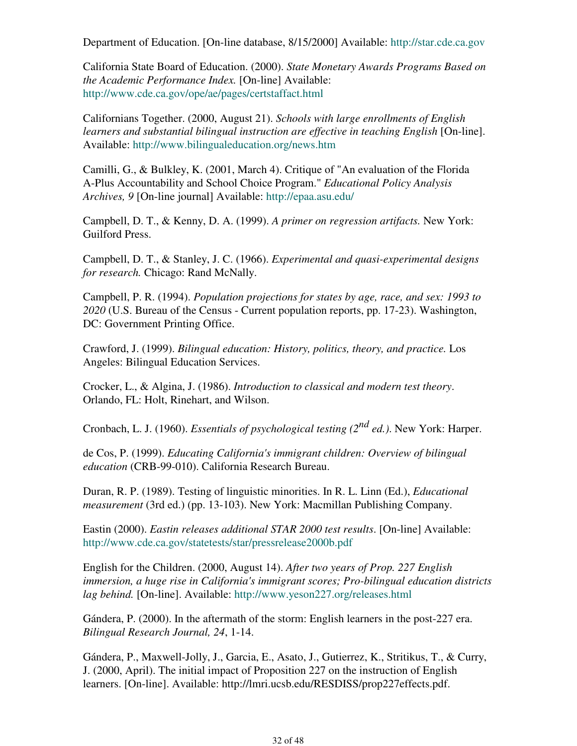Department of Education. [On-line database, 8/15/2000] Available: http://star.cde.ca.gov

California State Board of Education. (2000). *State Monetary Awards Programs Based on the Academic Performance Index.* [On-line] Available: http://www.cde.ca.gov/ope/ae/pages/certstaffact.html

Californians Together. (2000, August 21). *Schools with large enrollments of English learners and substantial bilingual instruction are effective in teaching English* [On-line]. Available: http://www.bilingualeducation.org/news.htm

Camilli, G., & Bulkley, K. (2001, March 4). Critique of "An evaluation of the Florida A-Plus Accountability and School Choice Program." *Educational Policy Analysis Archives, 9* [On-line journal] Available: http://epaa.asu.edu/

Campbell, D. T., & Kenny, D. A. (1999). *A primer on regression artifacts.* New York: Guilford Press.

Campbell, D. T., & Stanley, J. C. (1966). *Experimental and quasi-experimental designs for research.* Chicago: Rand McNally.

Campbell, P. R. (1994). *Population projections for states by age, race, and sex: 1993 to 2020* (U.S. Bureau of the Census - Current population reports, pp. 17-23). Washington, DC: Government Printing Office.

Crawford, J. (1999). *Bilingual education: History, politics, theory, and practice.* Los Angeles: Bilingual Education Services.

Crocker, L., & Algina, J. (1986). *Introduction to classical and modern test theory*. Orlando, FL: Holt, Rinehart, and Wilson.

Cronbach, L. J. (1960). *Essentials of psychological testing (2nd ed.)*. New York: Harper.

de Cos, P. (1999). *Educating California's immigrant children: Overview of bilingual education* (CRB-99-010). California Research Bureau.

Duran, R. P. (1989). Testing of linguistic minorities. In R. L. Linn (Ed.), *Educational measurement* (3rd ed.) (pp. 13-103). New York: Macmillan Publishing Company.

Eastin (2000). *Eastin releases additional STAR 2000 test results*. [On-line] Available: http://www.cde.ca.gov/statetests/star/pressrelease2000b.pdf

English for the Children. (2000, August 14). *After two years of Prop. 227 English immersion, a huge rise in California's immigrant scores; Pro-bilingual education districts lag behind.* [On-line]. Available: http://www.yeson227.org/releases.html

Gándera, P. (2000). In the aftermath of the storm: English learners in the post-227 era. *Bilingual Research Journal, 24*, 1-14.

Gándera, P., Maxwell-Jolly, J., Garcia, E., Asato, J., Gutierrez, K., Stritikus, T., & Curry, J. (2000, April). The initial impact of Proposition 227 on the instruction of English learners. [On-line]. Available: http://lmri.ucsb.edu/RESDISS/prop227effects.pdf.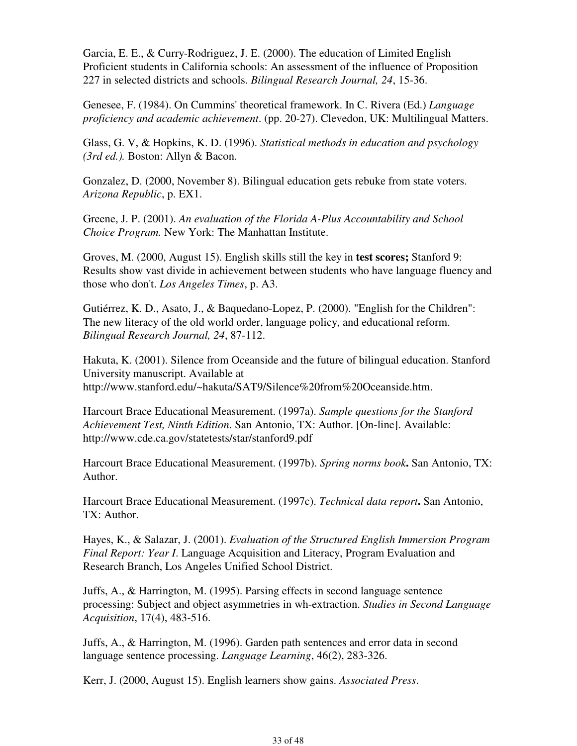Garcia, E. E., & Curry-Rodriguez, J. E. (2000). The education of Limited English Proficient students in California schools: An assessment of the influence of Proposition 227 in selected districts and schools. *Bilingual Research Journal, 24*, 15-36.

Genesee, F. (1984). On Cummins' theoretical framework. In C. Rivera (Ed.) *Language proficiency and academic achievement*. (pp. 20-27). Clevedon, UK: Multilingual Matters.

Glass, G. V, & Hopkins, K. D. (1996). *Statistical methods in education and psychology (3rd ed.).* Boston: Allyn & Bacon.

Gonzalez, D. (2000, November 8). Bilingual education gets rebuke from state voters. *Arizona Republic*, p. EX1.

Greene, J. P. (2001). *An evaluation of the Florida A-Plus Accountability and School Choice Program.* New York: The Manhattan Institute.

Groves, M. (2000, August 15). English skills still the key in **test scores;** Stanford 9: Results show vast divide in achievement between students who have language fluency and those who don't. *Los Angeles Times*, p. A3.

Gutiérrez, K. D., Asato, J., & Baquedano-Lopez, P. (2000). "English for the Children": The new literacy of the old world order, language policy, and educational reform. *Bilingual Research Journal, 24*, 87-112.

Hakuta, K. (2001). Silence from Oceanside and the future of bilingual education. Stanford University manuscript. Available at http://www.stanford.edu/~hakuta/SAT9/Silence%20from%20Oceanside.htm.

Harcourt Brace Educational Measurement. (1997a). *Sample questions for the Stanford Achievement Test, Ninth Edition*. San Antonio, TX: Author. [On-line]. Available: http://www.cde.ca.gov/statetests/star/stanford9.pdf

Harcourt Brace Educational Measurement. (1997b). *Spring norms book***.** San Antonio, TX: Author.

Harcourt Brace Educational Measurement. (1997c). *Technical data report***.** San Antonio, TX: Author.

Hayes, K., & Salazar, J. (2001). *Evaluation of the Structured English Immersion Program Final Report: Year I*. Language Acquisition and Literacy, Program Evaluation and Research Branch, Los Angeles Unified School District.

Juffs, A., & Harrington, M. (1995). Parsing effects in second language sentence processing: Subject and object asymmetries in wh-extraction. *Studies in Second Language Acquisition*, 17(4), 483-516.

Juffs, A., & Harrington, M. (1996). Garden path sentences and error data in second language sentence processing. *Language Learning*, 46(2), 283-326.

Kerr, J. (2000, August 15). English learners show gains. *Associated Press*.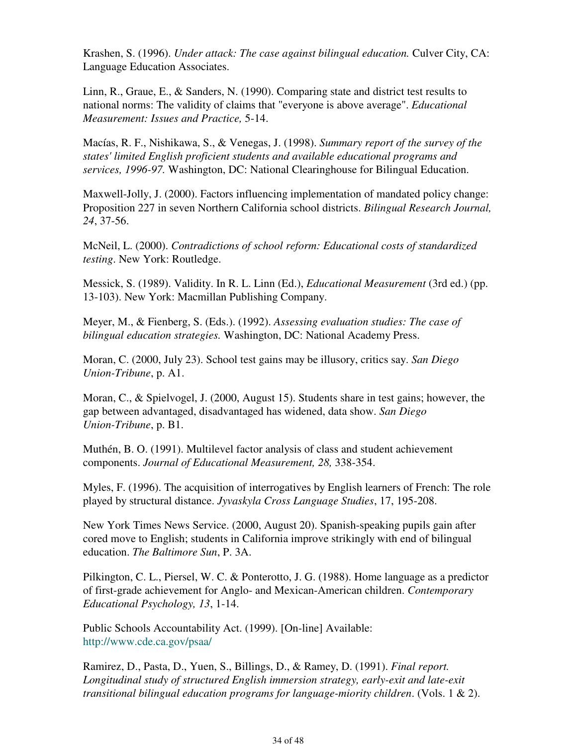Krashen, S. (1996). *Under attack: The case against bilingual education.* Culver City, CA: Language Education Associates.

Linn, R., Graue, E., & Sanders, N. (1990). Comparing state and district test results to national norms: The validity of claims that "everyone is above average". *Educational Measurement: Issues and Practice,* 5-14.

Macías, R. F., Nishikawa, S., & Venegas, J. (1998). *Summary report of the survey of the states' limited English proficient students and available educational programs and services, 1996-97.* Washington, DC: National Clearinghouse for Bilingual Education.

Maxwell-Jolly, J. (2000). Factors influencing implementation of mandated policy change: Proposition 227 in seven Northern California school districts. *Bilingual Research Journal, 24*, 37-56.

McNeil, L. (2000). *Contradictions of school reform: Educational costs of standardized testing*. New York: Routledge.

Messick, S. (1989). Validity. In R. L. Linn (Ed.), *Educational Measurement* (3rd ed.) (pp. 13-103). New York: Macmillan Publishing Company.

Meyer, M., & Fienberg, S. (Eds.). (1992). *Assessing evaluation studies: The case of bilingual education strategies.* Washington, DC: National Academy Press.

Moran, C. (2000, July 23). School test gains may be illusory, critics say. *San Diego Union-Tribune*, p. A1.

Moran, C., & Spielvogel, J. (2000, August 15). Students share in test gains; however, the gap between advantaged, disadvantaged has widened, data show. *San Diego Union-Tribune*, p. B1.

Muthén, B. O. (1991). Multilevel factor analysis of class and student achievement components. *Journal of Educational Measurement, 28,* 338-354.

Myles, F. (1996). The acquisition of interrogatives by English learners of French: The role played by structural distance. *Jyvaskyla Cross Language Studies*, 17, 195-208.

New York Times News Service. (2000, August 20). Spanish-speaking pupils gain after cored move to English; students in California improve strikingly with end of bilingual education. *The Baltimore Sun*, P. 3A.

Pilkington, C. L., Piersel, W. C. & Ponterotto, J. G. (1988). Home language as a predictor of first-grade achievement for Anglo- and Mexican-American children. *Contemporary Educational Psychology, 13*, 1-14.

Public Schools Accountability Act. (1999). [On-line] Available: http://www.cde.ca.gov/psaa/

Ramirez, D., Pasta, D., Yuen, S., Billings, D., & Ramey, D. (1991). *Final report. Longitudinal study of structured English immersion strategy, early-exit and late-exit transitional bilingual education programs for language-miority children*. (Vols. 1 & 2).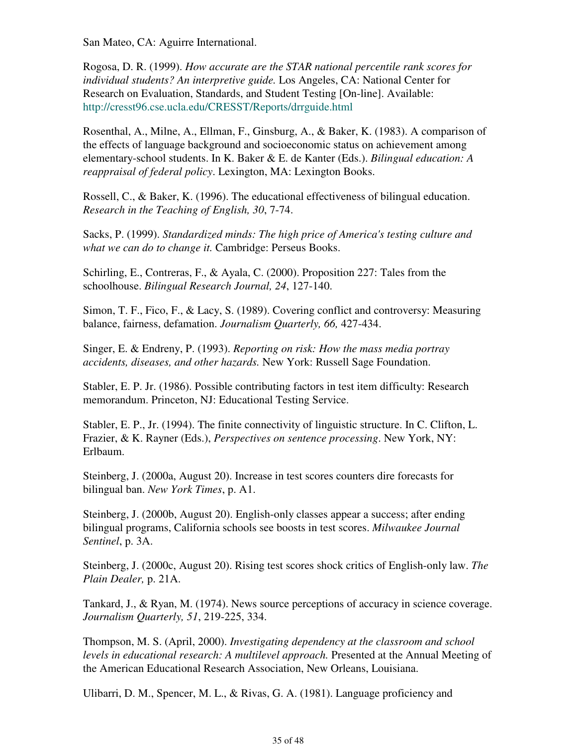San Mateo, CA: Aguirre International.

Rogosa, D. R. (1999). *How accurate are the STAR national percentile rank scores for individual students? An interpretive guide.* Los Angeles, CA: National Center for Research on Evaluation, Standards, and Student Testing [On-line]. Available: http://cresst96.cse.ucla.edu/CRESST/Reports/drrguide.html

Rosenthal, A., Milne, A., Ellman, F., Ginsburg, A., & Baker, K. (1983). A comparison of the effects of language background and socioeconomic status on achievement among elementary-school students. In K. Baker & E. de Kanter (Eds.). *Bilingual education: A reappraisal of federal policy*. Lexington, MA: Lexington Books.

Rossell, C., & Baker, K. (1996). The educational effectiveness of bilingual education. *Research in the Teaching of English, 30*, 7-74.

Sacks, P. (1999). *Standardized minds: The high price of America's testing culture and what we can do to change it.* Cambridge: Perseus Books.

Schirling, E., Contreras, F., & Ayala, C. (2000). Proposition 227: Tales from the schoolhouse. *Bilingual Research Journal, 24*, 127-140.

Simon, T. F., Fico, F., & Lacy, S. (1989). Covering conflict and controversy: Measuring balance, fairness, defamation. *Journalism Quarterly, 66,* 427-434.

Singer, E. & Endreny, P. (1993). *Reporting on risk: How the mass media portray accidents, diseases, and other hazards.* New York: Russell Sage Foundation.

Stabler, E. P. Jr. (1986). Possible contributing factors in test item difficulty: Research memorandum. Princeton, NJ: Educational Testing Service.

Stabler, E. P., Jr. (1994). The finite connectivity of linguistic structure. In C. Clifton, L. Frazier, & K. Rayner (Eds.), *Perspectives on sentence processing*. New York, NY: Erlbaum.

Steinberg, J. (2000a, August 20). Increase in test scores counters dire forecasts for bilingual ban. *New York Times*, p. A1.

Steinberg, J. (2000b, August 20). English-only classes appear a success; after ending bilingual programs, California schools see boosts in test scores. *Milwaukee Journal Sentinel*, p. 3A.

Steinberg, J. (2000c, August 20). Rising test scores shock critics of English-only law. *The Plain Dealer,* p. 21A.

Tankard, J., & Ryan, M. (1974). News source perceptions of accuracy in science coverage. *Journalism Quarterly, 51*, 219-225, 334.

Thompson, M. S. (April, 2000). *Investigating dependency at the classroom and school levels in educational research: A multilevel approach.* Presented at the Annual Meeting of the American Educational Research Association, New Orleans, Louisiana.

Ulibarri, D. M., Spencer, M. L., & Rivas, G. A. (1981). Language proficiency and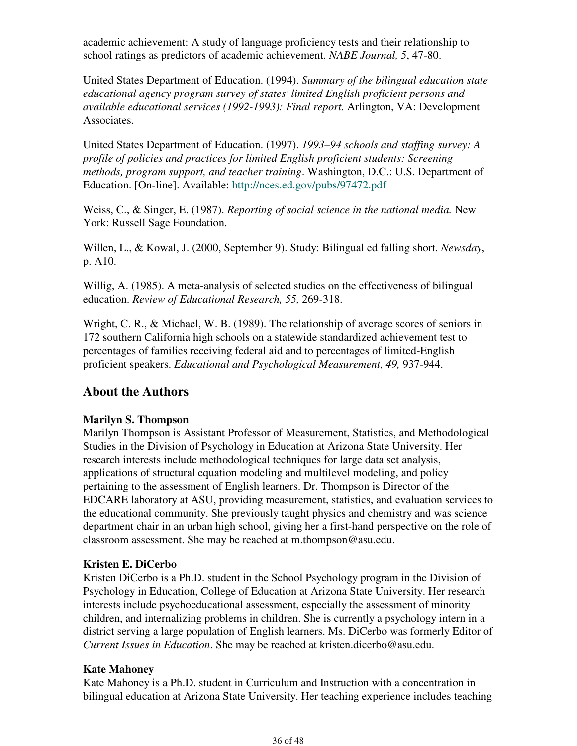academic achievement: A study of language proficiency tests and their relationship to school ratings as predictors of academic achievement. *NABE Journal, 5*, 47-80.

United States Department of Education. (1994). *Summary of the bilingual education state educational agency program survey of states' limited English proficient persons and available educational services (1992-1993): Final report.* Arlington, VA: Development Associates.

United States Department of Education. (1997). *1993–94 schools and staffing survey: A profile of policies and practices for limited English proficient students: Screening methods, program support, and teacher training*. Washington, D.C.: U.S. Department of Education. [On-line]. Available: http://nces.ed.gov/pubs/97472.pdf

Weiss, C., & Singer, E. (1987). *Reporting of social science in the national media.* New York: Russell Sage Foundation.

Willen, L., & Kowal, J. (2000, September 9). Study: Bilingual ed falling short. *Newsday*, p. A10.

Willig, A. (1985). A meta-analysis of selected studies on the effectiveness of bilingual education. *Review of Educational Research, 55,* 269-318.

Wright, C. R., & Michael, W. B. (1989). The relationship of average scores of seniors in 172 southern California high schools on a statewide standardized achievement test to percentages of families receiving federal aid and to percentages of limited-English proficient speakers. *Educational and Psychological Measurement, 49,* 937-944.

### **About the Authors**

### **Marilyn S. Thompson**

Marilyn Thompson is Assistant Professor of Measurement, Statistics, and Methodological Studies in the Division of Psychology in Education at Arizona State University. Her research interests include methodological techniques for large data set analysis, applications of structural equation modeling and multilevel modeling, and policy pertaining to the assessment of English learners. Dr. Thompson is Director of the EDCARE laboratory at ASU, providing measurement, statistics, and evaluation services to the educational community. She previously taught physics and chemistry and was science department chair in an urban high school, giving her a first-hand perspective on the role of classroom assessment. She may be reached at m.thompson@asu.edu.

### **Kristen E. DiCerbo**

Kristen DiCerbo is a Ph.D. student in the School Psychology program in the Division of Psychology in Education, College of Education at Arizona State University. Her research interests include psychoeducational assessment, especially the assessment of minority children, and internalizing problems in children. She is currently a psychology intern in a district serving a large population of English learners. Ms. DiCerbo was formerly Editor of *Current Issues in Education*. She may be reached at kristen.dicerbo@asu.edu.

### **Kate Mahoney**

Kate Mahoney is a Ph.D. student in Curriculum and Instruction with a concentration in bilingual education at Arizona State University. Her teaching experience includes teaching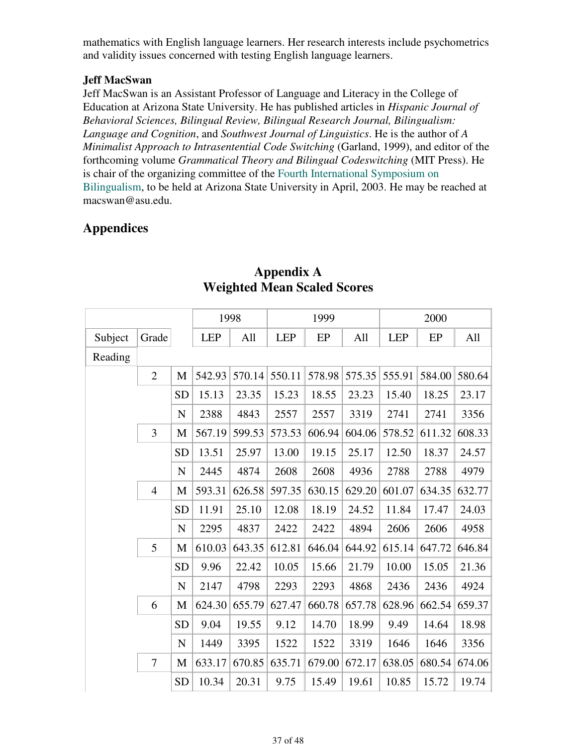mathematics with English language learners. Her research interests include psychometrics and validity issues concerned with testing English language learners.

#### **Jeff MacSwan**

Jeff MacSwan is an Assistant Professor of Language and Literacy in the College of Education at Arizona State University. He has published articles in *Hispanic Journal of Behavioral Sciences, Bilingual Review, Bilingual Research Journal, Bilingualism: Language and Cognition*, and *Southwest Journal of Linguistics*. He is the author of *A Minimalist Approach to Intrasentential Code Switching* (Garland, 1999), and editor of the forthcoming volume *Grammatical Theory and Bilingual Codeswitching* (MIT Press). He is chair of the organizing committee of the Fourth International Symposium on Bilingualism, to be held at Arizona State University in April, 2003. He may be reached at macswan@asu.edu.

# **Appendices**

|         |                  |             |            | 1998   |            | 1999   |        | 2000       |        |        |
|---------|------------------|-------------|------------|--------|------------|--------|--------|------------|--------|--------|
| Subject | Grade            |             | <b>LEP</b> | All    | <b>LEP</b> | EP     | All    | <b>LEP</b> | EP     | All    |
| Reading |                  |             |            |        |            |        |        |            |        |        |
|         | $\overline{2}$   | M           | 542.93     | 570.14 | 550.11     | 578.98 | 575.35 | 555.91     | 584.00 | 580.64 |
|         |                  | <b>SD</b>   | 15.13      | 23.35  | 15.23      | 18.55  | 23.23  | 15.40      | 18.25  | 23.17  |
|         |                  | $\mathbf N$ | 2388       | 4843   | 2557       | 2557   | 3319   | 2741       | 2741   | 3356   |
|         | 3                | M           | 567.19     | 599.53 | 573.53     | 606.94 | 604.06 | 578.52     | 611.32 | 608.33 |
|         |                  | <b>SD</b>   | 13.51      | 25.97  | 13.00      | 19.15  | 25.17  | 12.50      | 18.37  | 24.57  |
|         |                  | $\mathbf N$ | 2445       | 4874   | 2608       | 2608   | 4936   | 2788       | 2788   | 4979   |
|         | $\overline{4}$   | M           | 593.31     | 626.58 | 597.35     | 630.15 | 629.20 | 601.07     | 634.35 | 632.77 |
|         |                  | <b>SD</b>   | 11.91      | 25.10  | 12.08      | 18.19  | 24.52  | 11.84      | 17.47  | 24.03  |
|         |                  | $\mathbf N$ | 2295       | 4837   | 2422       | 2422   | 4894   | 2606       | 2606   | 4958   |
|         | 5                | M           | 610.03     | 643.35 | 612.81     | 646.04 | 644.92 | 615.14     | 647.72 | 646.84 |
|         |                  | <b>SD</b>   | 9.96       | 22.42  | 10.05      | 15.66  | 21.79  | 10.00      | 15.05  | 21.36  |
|         |                  | $\mathbf N$ | 2147       | 4798   | 2293       | 2293   | 4868   | 2436       | 2436   | 4924   |
|         | 6                | M           | 624.30     | 655.79 | 627.47     | 660.78 | 657.78 | 628.96     | 662.54 | 659.37 |
|         |                  | <b>SD</b>   | 9.04       | 19.55  | 9.12       | 14.70  | 18.99  | 9.49       | 14.64  | 18.98  |
|         |                  | $\mathbf N$ | 1449       | 3395   | 1522       | 1522   | 3319   | 1646       | 1646   | 3356   |
|         | $\boldsymbol{7}$ | M           | 633.17     | 670.85 | 635.71     | 679.00 | 672.17 | 638.05     | 680.54 | 674.06 |
|         |                  | <b>SD</b>   | 10.34      | 20.31  | 9.75       | 15.49  | 19.61  | 10.85      | 15.72  | 19.74  |

## **Appendix A Weighted Mean Scaled Scores**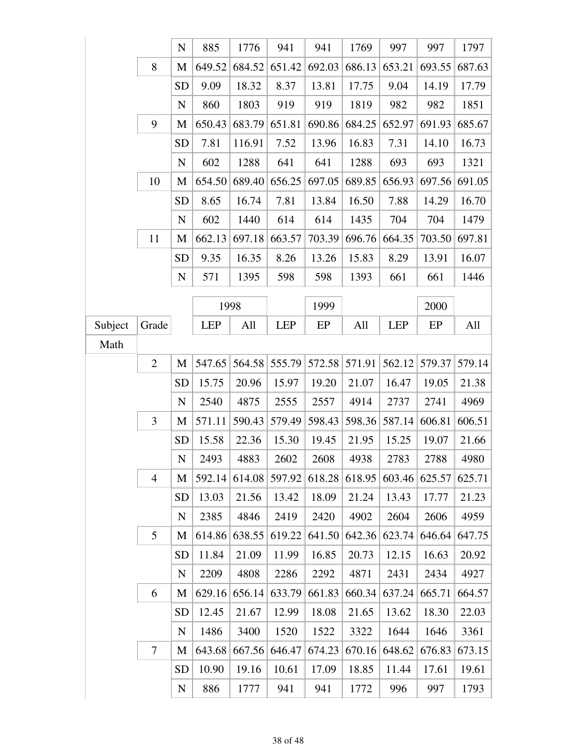|         |                | $\mathbf N$ | 885        | 1776   | 941        | 941    | 1769   | 997        | 997    | 1797   |
|---------|----------------|-------------|------------|--------|------------|--------|--------|------------|--------|--------|
|         | 8              | M           | 649.52     | 684.52 | 651.42     | 692.03 | 686.13 | 653.21     | 693.55 | 687.63 |
|         |                | <b>SD</b>   | 9.09       | 18.32  | 8.37       | 13.81  | 17.75  | 9.04       | 14.19  | 17.79  |
|         |                | $\mathbf N$ | 860        | 1803   | 919        | 919    | 1819   | 982        | 982    | 1851   |
|         | 9              | M           | 650.43     | 683.79 | 651.81     | 690.86 | 684.25 | 652.97     | 691.93 | 685.67 |
|         |                | <b>SD</b>   | 7.81       | 116.91 | 7.52       | 13.96  | 16.83  | 7.31       | 14.10  | 16.73  |
|         |                | $\mathbf N$ | 602        | 1288   | 641        | 641    | 1288   | 693        | 693    | 1321   |
|         | 10             | M           | 654.50     | 689.40 | 656.25     | 697.05 | 689.85 | 656.93     | 697.56 | 691.05 |
|         |                | <b>SD</b>   | 8.65       | 16.74  | 7.81       | 13.84  | 16.50  | 7.88       | 14.29  | 16.70  |
|         |                | $\mathbf N$ | 602        | 1440   | 614        | 614    | 1435   | 704        | 704    | 1479   |
|         | 11             | M           | 662.13     | 697.18 | 663.57     | 703.39 | 696.76 | 664.35     | 703.50 | 697.81 |
|         |                | <b>SD</b>   | 9.35       | 16.35  | 8.26       | 13.26  | 15.83  | 8.29       | 13.91  | 16.07  |
|         |                | $\mathbf N$ | 571        | 1395   | 598        | 598    | 1393   | 661        | 661    | 1446   |
|         |                |             |            | 1998   |            | 1999   |        |            | 2000   |        |
| Subject | Grade          |             | <b>LEP</b> | All    | <b>LEP</b> | EP     | All    | <b>LEP</b> | EP     | All    |
| Math    |                |             |            |        |            |        |        |            |        |        |
|         | $\mathbf{2}$   | M           | 547.65     | 564.58 | 555.79     | 572.58 | 571.91 | 562.12     | 579.37 | 579.14 |
|         |                | <b>SD</b>   | 15.75      | 20.96  | 15.97      | 19.20  | 21.07  | 16.47      | 19.05  | 21.38  |
|         |                | $\mathbf N$ | 2540       | 4875   | 2555       | 2557   | 4914   | 2737       | 2741   | 4969   |
|         | 3              | M           | 571.11     | 590.43 | 579.49     | 598.43 | 598.36 | 587.14     | 606.81 | 606.51 |
|         |                | <b>SD</b>   | 15.58      | 22.36  | 15.30      | 19.45  | 21.95  | 15.25      | 19.07  | 21.66  |
|         |                | $\mathbf N$ | 2493       | 4883   | 2602       | 2608   | 4938   | 2783       | 2788   | 4980   |
|         | $\overline{4}$ | M           | 592.14     | 614.08 | 597.92     | 618.28 | 618.95 | 603.46     | 625.57 | 625.71 |
|         |                | <b>SD</b>   | 13.03      | 21.56  | 13.42      | 18.09  | 21.24  | 13.43      | 17.77  | 21.23  |
|         |                | $\mathbf N$ | 2385       | 4846   | 2419       | 2420   | 4902   | 2604       | 2606   | 4959   |
|         | 5              | M           | 614.86     | 638.55 | 619.22     | 641.50 | 642.36 | 623.74     | 646.64 | 647.75 |
|         |                | <b>SD</b>   | 11.84      | 21.09  | 11.99      | 16.85  | 20.73  | 12.15      | 16.63  | 20.92  |
|         |                | N           | 2209       | 4808   | 2286       | 2292   | 4871   | 2431       | 2434   | 4927   |
|         | 6              | M           | 629.16     | 656.14 | 633.79     | 661.83 | 660.34 | 637.24     | 665.71 | 664.57 |
|         |                | <b>SD</b>   | 12.45      | 21.67  | 12.99      | 18.08  | 21.65  | 13.62      | 18.30  | 22.03  |
|         |                | N           | 1486       | 3400   | 1520       | 1522   | 3322   | 1644       | 1646   | 3361   |
|         | $\tau$         | M           | 643.68     | 667.56 | 646.47     | 674.23 | 670.16 | 648.62     | 676.83 | 673.15 |
|         |                | <b>SD</b>   | 10.90      | 19.16  | 10.61      | 17.09  | 18.85  | 11.44      | 17.61  | 19.61  |
|         |                | N           | 886        | 1777   | 941        | 941    | 1772   | 996        | 997    | 1793   |
|         |                |             |            |        |            |        |        |            |        |        |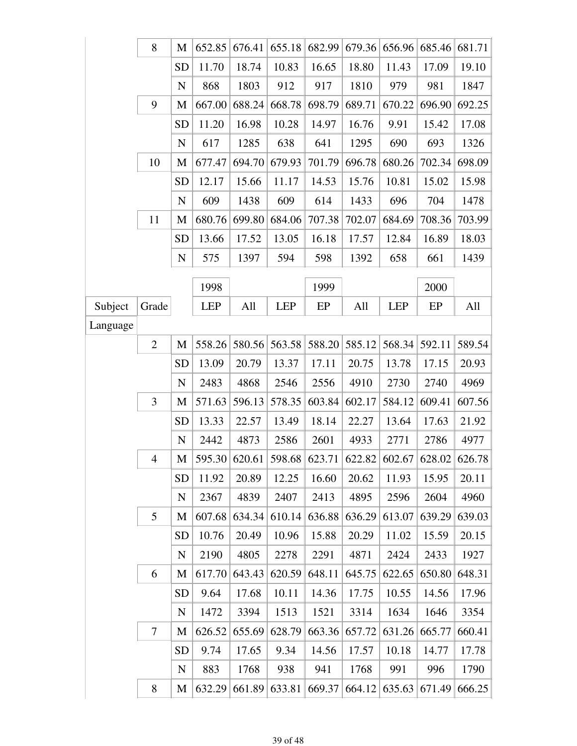|          | 8              | M           | 652.85     | 676.41        | 655.18     | 682.99 | 679.36                      | 656.96     | 685.46 | 681.71 |
|----------|----------------|-------------|------------|---------------|------------|--------|-----------------------------|------------|--------|--------|
|          |                | <b>SD</b>   | 11.70      | 18.74         | 10.83      | 16.65  | 18.80                       | 11.43      | 17.09  | 19.10  |
|          |                | $\mathbf N$ | 868        | 1803          | 912        | 917    | 1810                        | 979        | 981    | 1847   |
|          | 9              | M           | 667.00     | 688.24        | 668.78     | 698.79 | 689.71                      | 670.22     | 696.90 | 692.25 |
|          |                | <b>SD</b>   | 11.20      | 16.98         | 10.28      | 14.97  | 16.76                       | 9.91       | 15.42  | 17.08  |
|          |                | $\mathbf N$ | 617        | 1285          | 638        | 641    | 1295                        | 690        | 693    | 1326   |
|          | 10             | M           | 677.47     | 694.70        | 679.93     | 701.79 | 696.78                      | 680.26     | 702.34 | 698.09 |
|          |                | <b>SD</b>   | 12.17      | 15.66         | 11.17      | 14.53  | 15.76                       | 10.81      | 15.02  | 15.98  |
|          |                | $\mathbf N$ | 609        | 1438          | 609        | 614    | 1433                        | 696        | 704    | 1478   |
|          | 11             | M           | 680.76     | 699.80        | 684.06     | 707.38 | 702.07                      | 684.69     | 708.36 | 703.99 |
|          |                | <b>SD</b>   | 13.66      | 17.52         | 13.05      | 16.18  | 17.57                       | 12.84      | 16.89  | 18.03  |
|          |                | $\mathbf N$ | 575        | 1397          | 594        | 598    | 1392                        | 658        | 661    | 1439   |
|          |                |             | 1998       |               |            | 1999   |                             |            | 2000   |        |
| Subject  | Grade          |             | <b>LEP</b> | All           | <b>LEP</b> | EP     | All                         | <b>LEP</b> | EP     | All    |
| Language |                |             |            |               |            |        |                             |            |        |        |
|          | $\overline{2}$ | M           | 558.26     | 580.56        | 563.58     | 588.20 | 585.12                      | 568.34     | 592.11 | 589.54 |
|          |                | <b>SD</b>   | 13.09      | 20.79         | 13.37      | 17.11  | 20.75                       | 13.78      | 17.15  | 20.93  |
|          |                | N           | 2483       | 4868          | 2546       | 2556   | 4910                        | 2730       | 2740   | 4969   |
|          | 3              | M           | 571.63     | 596.13        | 578.35     | 603.84 | 602.17                      | 584.12     | 609.41 | 607.56 |
|          |                | <b>SD</b>   | 13.33      | 22.57         | 13.49      | 18.14  | 22.27                       | 13.64      | 17.63  | 21.92  |
|          |                | $\mathbf N$ | 2442       | 4873          | 2586       | 2601   | 4933                        | 2771       | 2786   | 4977   |
|          | $\overline{4}$ | M           |            | 595.30 620.61 | 598.68     |        | 623.71 622.82 602.67 628.02 |            |        | 626.78 |
|          |                | <b>SD</b>   | 11.92      | 20.89         | 12.25      | 16.60  | 20.62                       | 11.93      | 15.95  | 20.11  |
|          |                | N           | 2367       | 4839          | 2407       | 2413   | 4895                        | 2596       | 2604   | 4960   |
|          | 5              | M           | 607.68     | 634.34        | 610.14     | 636.88 | 636.29                      | 613.07     | 639.29 | 639.03 |
|          |                | SD          | 10.76      | 20.49         | 10.96      | 15.88  | 20.29                       | 11.02      | 15.59  | 20.15  |
|          |                | $\mathbf N$ | 2190       | 4805          | 2278       | 2291   | 4871                        | 2424       | 2433   | 1927   |
|          | 6              | M           | 617.70     | 643.43        | 620.59     | 648.11 | 645.75                      | 622.65     | 650.80 | 648.31 |
|          |                | <b>SD</b>   | 9.64       | 17.68         | 10.11      | 14.36  | 17.75                       | 10.55      | 14.56  | 17.96  |
|          |                | $\mathbf N$ | 1472       | 3394          | 1513       | 1521   | 3314                        | 1634       | 1646   | 3354   |
|          | $\tau$         | M           | 626.52     | 655.69        | 628.79     | 663.36 | 657.72                      | 631.26     | 665.77 | 660.41 |
|          |                | <b>SD</b>   | 9.74       | 17.65         | 9.34       | 14.56  | 17.57                       | 10.18      | 14.77  | 17.78  |
|          |                | $\mathbf N$ | 883        | 1768          | 938        | 941    | 1768                        | 991        | 996    | 1790   |
|          | 8              | M           | 632.29     | 661.89        | 633.81     | 669.37 | 664.12                      | 635.63     | 671.49 | 666.25 |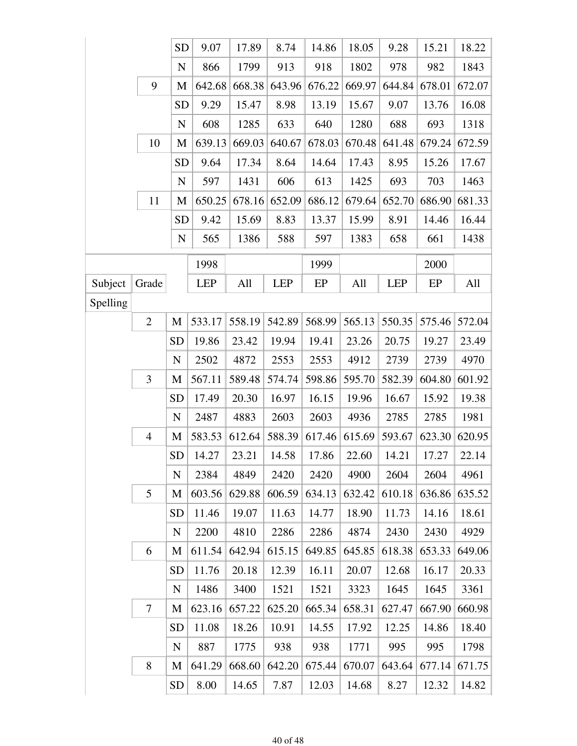|          |                | <b>SD</b>   | 9.07       | 17.89  | 8.74       | 14.86  | 18.05  | 9.28       | 15.21  | 18.22  |
|----------|----------------|-------------|------------|--------|------------|--------|--------|------------|--------|--------|
|          |                | $\mathbf N$ | 866        | 1799   | 913        | 918    | 1802   | 978        | 982    | 1843   |
|          | 9              | M           | 642.68     | 668.38 | 643.96     | 676.22 | 669.97 | 644.84     | 678.01 | 672.07 |
|          |                | <b>SD</b>   | 9.29       | 15.47  | 8.98       | 13.19  | 15.67  | 9.07       | 13.76  | 16.08  |
|          |                | $\mathbf N$ | 608        | 1285   | 633        | 640    | 1280   | 688        | 693    | 1318   |
|          | 10             | M           | 639.13     | 669.03 | 640.67     | 678.03 | 670.48 | 641.48     | 679.24 | 672.59 |
|          |                | <b>SD</b>   | 9.64       | 17.34  | 8.64       | 14.64  | 17.43  | 8.95       | 15.26  | 17.67  |
|          |                | ${\bf N}$   | 597        | 1431   | 606        | 613    | 1425   | 693        | 703    | 1463   |
|          | 11             | M           | 650.25     | 678.16 | 652.09     | 686.12 | 679.64 | 652.70     | 686.90 | 681.33 |
|          |                | <b>SD</b>   | 9.42       | 15.69  | 8.83       | 13.37  | 15.99  | 8.91       | 14.46  | 16.44  |
|          |                | $\mathbf N$ | 565        | 1386   | 588        | 597    | 1383   | 658        | 661    | 1438   |
|          |                |             | 1998       |        |            | 1999   |        |            | 2000   |        |
| Subject  | Grade          |             | <b>LEP</b> | All    | <b>LEP</b> | EP     | All    | <b>LEP</b> | EP     | All    |
| Spelling |                |             |            |        |            |        |        |            |        |        |
|          | $\mathbf{2}$   | M           | 533.17     | 558.19 | 542.89     | 568.99 | 565.13 | 550.35     | 575.46 | 572.04 |
|          |                | <b>SD</b>   | 19.86      | 23.42  | 19.94      | 19.41  | 23.26  | 20.75      | 19.27  | 23.49  |
|          |                | N           | 2502       | 4872   | 2553       | 2553   | 4912   | 2739       | 2739   | 4970   |
|          | 3              | M           | 567.11     | 589.48 | 574.74     | 598.86 | 595.70 | 582.39     | 604.80 | 601.92 |
|          |                | <b>SD</b>   | 17.49      | 20.30  | 16.97      | 16.15  | 19.96  | 16.67      | 15.92  | 19.38  |
|          |                | N           | 2487       | 4883   | 2603       | 2603   | 4936   | 2785       | 2785   | 1981   |
|          | $\overline{4}$ | M           | 583.53     | 612.64 | 588.39     | 617.46 | 615.69 | 593.67     | 623.30 | 620.95 |
|          |                | SD          | 14.27      | 23.21  | 14.58      | 17.86  | 22.60  | 14.21      | 17.27  | 22.14  |
|          |                | N           | 2384       | 4849   | 2420       | 2420   | 4900   | 2604       | 2604   | 4961   |
|          | 5              | M           | 603.56     | 629.88 | 606.59     | 634.13 | 632.42 | 610.18     | 636.86 | 635.52 |
|          |                | <b>SD</b>   | 11.46      | 19.07  | 11.63      | 14.77  | 18.90  | 11.73      | 14.16  | 18.61  |
|          |                | $\mathbf N$ | 2200       | 4810   | 2286       | 2286   | 4874   | 2430       | 2430   | 4929   |
|          | 6              | M           | 611.54     | 642.94 | 615.15     | 649.85 | 645.85 | 618.38     | 653.33 | 649.06 |
|          |                | <b>SD</b>   | 11.76      | 20.18  | 12.39      | 16.11  | 20.07  | 12.68      | 16.17  | 20.33  |
|          |                | $\mathbf N$ | 1486       | 3400   | 1521       | 1521   | 3323   | 1645       | 1645   | 3361   |
|          | $\tau$         | M           | 623.16     | 657.22 | 625.20     | 665.34 | 658.31 | 627.47     | 667.90 | 660.98 |
|          |                | <b>SD</b>   | 11.08      | 18.26  | 10.91      | 14.55  | 17.92  | 12.25      | 14.86  | 18.40  |
|          |                | $\mathbf N$ | 887        | 1775   | 938        | 938    | 1771   | 995        | 995    | 1798   |
|          | 8              | M           | 641.29     | 668.60 | 642.20     | 675.44 | 670.07 | 643.64     | 677.14 | 671.75 |
|          |                | <b>SD</b>   | 8.00       | 14.65  | 7.87       | 12.03  | 14.68  | 8.27       | 12.32  | 14.82  |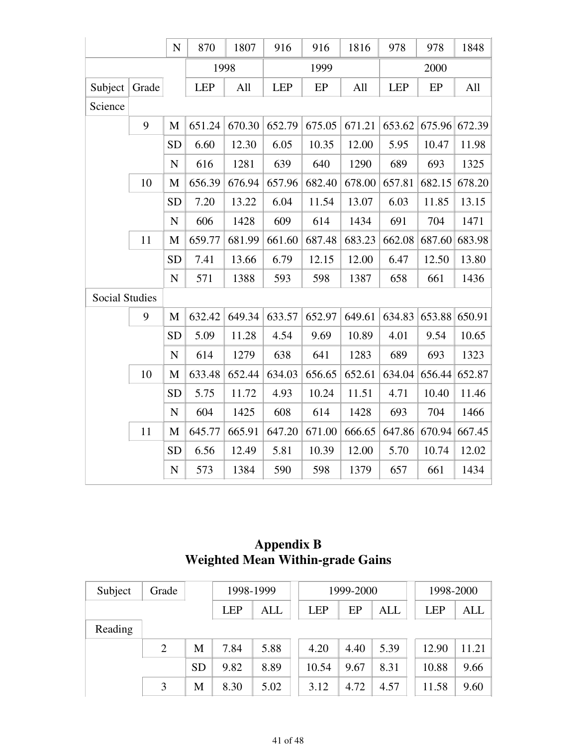|                       |       | $\mathbf N$ | 870        | 1807   | 916        | 916    | 1816   | 978        | 978    | 1848   |
|-----------------------|-------|-------------|------------|--------|------------|--------|--------|------------|--------|--------|
|                       |       |             |            | 1998   |            | 1999   |        |            | 2000   |        |
| Subject               | Grade |             | <b>LEP</b> | All    | <b>LEP</b> | EP     | All    | <b>LEP</b> | EP     | All    |
| Science               |       |             |            |        |            |        |        |            |        |        |
|                       | 9     | M           | 651.24     | 670.30 | 652.79     | 675.05 | 671.21 | 653.62     | 675.96 | 672.39 |
|                       |       | <b>SD</b>   | 6.60       | 12.30  | 6.05       | 10.35  | 12.00  | 5.95       | 10.47  | 11.98  |
|                       |       | ${\bf N}$   | 616        | 1281   | 639        | 640    | 1290   | 689        | 693    | 1325   |
|                       | 10    | M           | 656.39     | 676.94 | 657.96     | 682.40 | 678.00 | 657.81     | 682.15 | 678.20 |
|                       |       | <b>SD</b>   | 7.20       | 13.22  | 6.04       | 11.54  | 13.07  | 6.03       | 11.85  | 13.15  |
|                       |       | ${\bf N}$   | 606        | 1428   | 609        | 614    | 1434   | 691        | 704    | 1471   |
|                       | 11    | M           | 659.77     | 681.99 | 661.60     | 687.48 | 683.23 | 662.08     | 687.60 | 683.98 |
|                       |       | <b>SD</b>   | 7.41       | 13.66  | 6.79       | 12.15  | 12.00  | 6.47       | 12.50  | 13.80  |
|                       |       | ${\bf N}$   | 571        | 1388   | 593        | 598    | 1387   | 658        | 661    | 1436   |
| <b>Social Studies</b> |       |             |            |        |            |        |        |            |        |        |
|                       | 9     | M           | 632.42     | 649.34 | 633.57     | 652.97 | 649.61 | 634.83     | 653.88 | 650.91 |
|                       |       | <b>SD</b>   | 5.09       | 11.28  | 4.54       | 9.69   | 10.89  | 4.01       | 9.54   | 10.65  |
|                       |       | $\mathbf N$ | 614        | 1279   | 638        | 641    | 1283   | 689        | 693    | 1323   |
|                       | 10    | M           | 633.48     | 652.44 | 634.03     | 656.65 | 652.61 | 634.04     | 656.44 | 652.87 |
|                       |       | <b>SD</b>   | 5.75       | 11.72  | 4.93       | 10.24  | 11.51  | 4.71       | 10.40  | 11.46  |
|                       |       | $\mathbf N$ | 604        | 1425   | 608        | 614    | 1428   | 693        | 704    | 1466   |
|                       | 11    | $\mathbf M$ | 645.77     | 665.91 | 647.20     | 671.00 | 666.65 | 647.86     | 670.94 | 667.45 |
|                       |       | <b>SD</b>   | 6.56       | 12.49  | 5.81       | 10.39  | 12.00  | 5.70       | 10.74  | 12.02  |
|                       |       | $\mathbf N$ | 573        | 1384   | 590        | 598    | 1379   | 657        | 661    | 1434   |

# **Appendix B Weighted Mean Within-grade Gains**

| Subject | Grade |           | 1998-1999  |      |            | 1999-2000 |            | 1998-2000  |            |
|---------|-------|-----------|------------|------|------------|-----------|------------|------------|------------|
|         |       |           | <b>LEP</b> | ALL  | <b>LEP</b> | EP        | <b>ALL</b> | <b>LEP</b> | <b>ALL</b> |
| Reading |       |           |            |      |            |           |            |            |            |
|         | 2     | М         | 7.84       | 5.88 | 4.20       | 4.40      | 5.39       | 12.90      | 11.21      |
|         |       | <b>SD</b> | 9.82       | 8.89 | 10.54      | 9.67      | 8.31       | 10.88      | 9.66       |
|         | 3     | M         | 8.30       | 5.02 | 3.12       | 4.72      | 4.57       | 11.58      | 9.60       |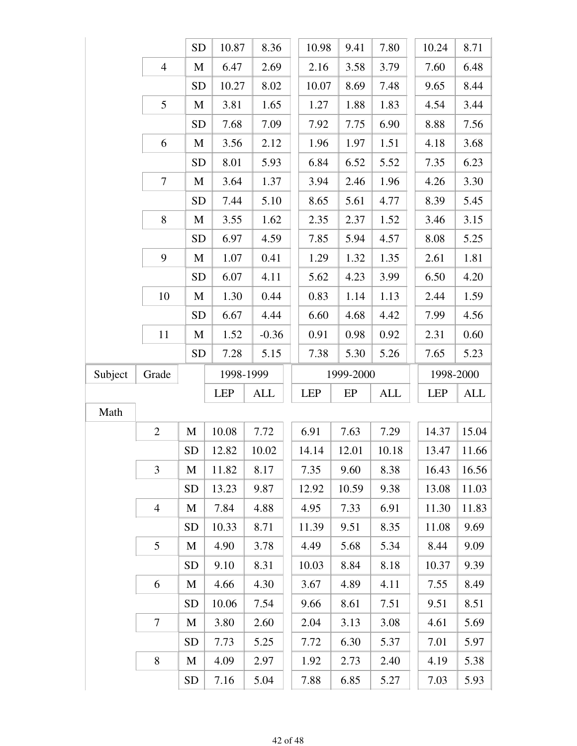|         |                | <b>SD</b> | 10.87      | 8.36       | 10.98      | 9.41      | 7.80       | 10.24      |       | 8.71      |
|---------|----------------|-----------|------------|------------|------------|-----------|------------|------------|-------|-----------|
|         | $\overline{4}$ | M         | 6.47       | 2.69       | 2.16       | 3.58      | 3.79       | 7.60       |       | 6.48      |
|         |                | <b>SD</b> | 10.27      | 8.02       | 10.07      | 8.69      | 7.48       | 9.65       |       | 8.44      |
|         | 5              | M         | 3.81       | 1.65       | 1.27       | 1.88      | 1.83       | 4.54       |       | 3.44      |
|         |                | <b>SD</b> | 7.68       | 7.09       | 7.92       | 7.75      | 6.90       | 8.88       |       | 7.56      |
|         | 6              | M         | 3.56       | 2.12       | 1.96       | 1.97      | 1.51       | 4.18       |       | 3.68      |
|         |                | <b>SD</b> | 8.01       | 5.93       | 6.84       | 6.52      | 5.52       | 7.35       |       | 6.23      |
|         | $\tau$         | M         | 3.64       | 1.37       | 3.94       | 2.46      | 1.96       | 4.26       |       | 3.30      |
|         |                | <b>SD</b> | 7.44       | 5.10       | 8.65       | 5.61      | 4.77       | 8.39       |       | 5.45      |
|         | 8              | M         | 3.55       | 1.62       | 2.35       | 2.37      | 1.52       | 3.46       |       | 3.15      |
|         |                | <b>SD</b> | 6.97       | 4.59       | 7.85       | 5.94      | 4.57       | 8.08       |       | 5.25      |
|         | 9              | M         | 1.07       | 0.41       | 1.29       | 1.32      | 1.35       | 2.61       |       | 1.81      |
|         |                | <b>SD</b> | 6.07       | 4.11       | 5.62       | 4.23      | 3.99       | 6.50       |       | 4.20      |
|         | 10             | M         | 1.30       | 0.44       | 0.83       | 1.14      | 1.13       | 2.44       |       | 1.59      |
|         |                | <b>SD</b> | 6.67       | 4.44       | 6.60       | 4.68      | 4.42       | 7.99       |       | 4.56      |
|         | 11             | M         | 1.52       | $-0.36$    | 0.91       | 0.98      | 0.92       | 2.31       |       | 0.60      |
|         |                | <b>SD</b> | 7.28       | 5.15       | 7.38       | 5.30      | 5.26       | 7.65       |       | 5.23      |
| Subject | Grade          |           |            |            |            |           |            |            |       |           |
|         |                |           | 1998-1999  |            |            | 1999-2000 |            |            |       | 1998-2000 |
|         |                |           | <b>LEP</b> | <b>ALL</b> | <b>LEP</b> | EP        | <b>ALL</b> | <b>LEP</b> |       | ALL       |
| Math    |                |           |            |            |            |           |            |            |       |           |
|         | $\overline{2}$ | M         | 10.08      | 7.72       | 6.91       | 7.63      | 7.29       |            | 14.37 | 15.04     |
|         |                | <b>SD</b> | 12.82      | 10.02      | 14.14      | 12.01     | 10.18      |            | 13.47 | 11.66     |
|         | $\mathfrak{Z}$ | M         | 11.82      | 8.17       | 7.35       | 9.60      | 8.38       |            | 16.43 | 16.56     |
|         |                | <b>SD</b> | 13.23      | 9.87       | 12.92      | 10.59     | 9.38       |            | 13.08 | 11.03     |
|         | $\overline{4}$ | M         | 7.84       | 4.88       | 4.95       | 7.33      | 6.91       |            | 11.30 | 11.83     |
|         |                | <b>SD</b> | 10.33      | 8.71       | 11.39      | 9.51      | 8.35       |            | 11.08 | 9.69      |
|         | 5              | M         | 4.90       | 3.78       | 4.49       | 5.68      | 5.34       | 8.44       |       | 9.09      |
|         |                | <b>SD</b> | 9.10       | 8.31       | 10.03      | 8.84      | 8.18       |            | 10.37 | 9.39      |
|         | 6              | M         | 4.66       | 4.30       | 3.67       | 4.89      | 4.11       | 7.55       |       | 8.49      |
|         |                | <b>SD</b> | 10.06      | 7.54       | 9.66       | 8.61      | 7.51       | 9.51       |       | 8.51      |
|         | $\tau$         | M         | 3.80       | 2.60       | 2.04       | 3.13      | 3.08       | 4.61       |       | 5.69      |
|         |                | <b>SD</b> | 7.73       | 5.25       | 7.72       | 6.30      | 5.37       | 7.01       |       | 5.97      |
|         | $8\,$          | M         | 4.09       | 2.97       | 1.92       | 2.73      | 2.40       | 4.19       |       | 5.38      |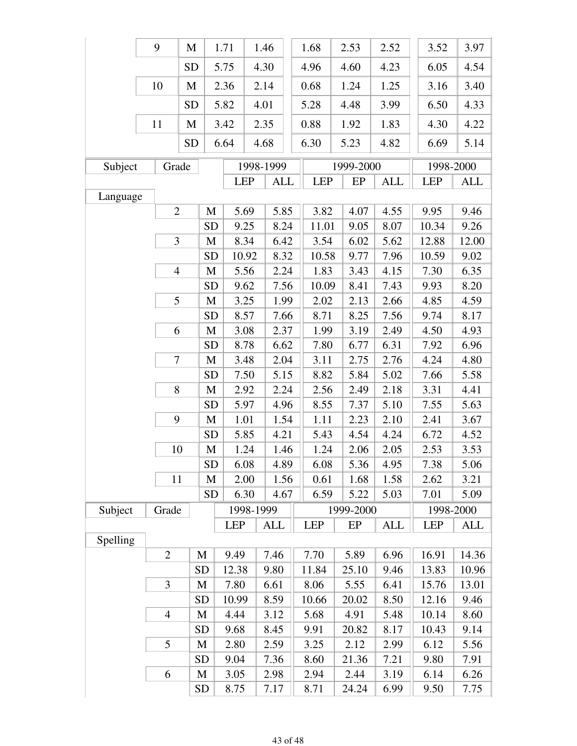|          | 9              | M                        |              | 1.71       |      | 1.46       | 1.68       | 2.53      | 2.52       | 3.52       | 3.97       |
|----------|----------------|--------------------------|--------------|------------|------|------------|------------|-----------|------------|------------|------------|
|          |                | <b>SD</b>                |              | 5.75       | 4.30 |            | 4.96       | 4.60      | 4.23       | 6.05       | 4.54       |
|          | 10             | $\mathbf{M}$             |              | 2.36       | 2.14 |            | 0.68       | 1.24      | 1.25       | 3.16       | 3.40       |
|          |                | <b>SD</b>                |              | 5.82       | 4.01 |            | 5.28       | 4.48      | 3.99       | 6.50       | 4.33       |
|          | 11             | M                        |              | 3.42       | 2.35 |            | 0.88       | 1.92      | 1.83       | 4.30       | 4.22       |
|          |                | <b>SD</b>                |              | 6.64       | 4.68 |            | 6.30       | 5.23      | 4.82       | 6.69       | 5.14       |
| Subject  |                | Grade                    |              |            |      | 1998-1999  |            | 1999-2000 |            | 1998-2000  |            |
|          |                |                          |              | <b>LEP</b> |      | <b>ALL</b> | <b>LEP</b> | $\rm EP$  | <b>ALL</b> | <b>LEP</b> | <b>ALL</b> |
| Language |                |                          |              |            |      |            |            |           |            |            |            |
|          |                | $\mathbf{2}$             | M            | 5.69       |      | 5.85       | 3.82       | 4.07      | 4.55       | 9.95       | 9.46       |
|          |                |                          | <b>SD</b>    | 9.25       |      | 8.24       | 11.01      | 9.05      | 8.07       | 10.34      | 9.26       |
|          |                | 3                        | M            | 8.34       |      | 6.42       | 3.54       | 6.02      | 5.62       | 12.88      | 12.00      |
|          |                |                          | <b>SD</b>    | 10.92      |      | 8.32       | 10.58      | 9.77      | 7.96       | 10.59      | 9.02       |
|          |                | $\overline{\mathcal{L}}$ | M            | 5.56       |      | 2.24       | 1.83       | 3.43      | 4.15       | 7.30       | 6.35       |
|          |                |                          | <b>SD</b>    | 9.62       |      | 7.56       | 10.09      | 8.41      | 7.43       | 9.93       | 8.20       |
|          |                | 5                        | $\mathbf M$  | 3.25       |      | 1.99       | 2.02       | 2.13      | 2.66       | 4.85       | 4.59       |
|          |                |                          | <b>SD</b>    | 8.57       |      | 7.66       | 8.71       | 8.25      | 7.56       | 9.74       | 8.17       |
|          |                | 6                        | $\mathbf{M}$ | 3.08       |      | 2.37       | 1.99       | 3.19      | 2.49       | 4.50       | 4.93       |
|          |                |                          | <b>SD</b>    | 8.78       |      | 6.62       | 7.80       | 6.77      | 6.31       | 7.92       | 6.96       |
|          |                | 7                        | M            | 3.48       |      | 2.04       | 3.11       | 2.75      | 2.76       | 4.24       | 4.80       |
|          |                |                          | <b>SD</b>    | 7.50       |      | 5.15       | 8.82       | 5.84      | 5.02       | 7.66       | 5.58       |
|          |                | 8                        | $\mathbf M$  | 2.92       |      | 2.24       | 2.56       | 2.49      | 2.18       | 3.31       | 4.41       |
|          |                |                          | <b>SD</b>    | 5.97       |      | 4.96       | 8.55       | 7.37      | 5.10       | 7.55       | 5.63       |
|          |                | 9                        | $\mathbf M$  | 1.01       |      | 1.54       | 1.11       | 2.23      | 2.10       | 2.41       | 3.67       |
|          |                |                          | <b>SD</b>    | 5.85       |      | 4.21       | 5.43       | 4.54      | 4.24       | 6.72       | 4.52       |
|          |                | 10                       | $\mathbf M$  | 1.24       |      | 1.46       | 1.24       | 2.06      | 2.05       | 2.53       | 3.53       |
|          |                |                          | <b>SD</b>    | 6.08       |      | 4.89       | 6.08       | 5.36      | 4.95       | 7.38       | 5.06       |
|          | 11             |                          | M            | 2.00       |      | 1.56       | 0.61       | 1.68      | 1.58       | 2.62       | 3.21       |
|          |                |                          | <b>SD</b>    | 6.30       |      | 4.67       | 6.59       | 5.22      | 5.03       | 7.01       | 5.09       |
| Subject  | Grade          |                          |              | 1998-1999  |      |            |            | 1999-2000 |            | 1998-2000  |            |
|          |                |                          |              | <b>LEP</b> |      | ALL        | <b>LEP</b> | EP        | ALL        | <b>LEP</b> | <b>ALL</b> |
| Spelling |                |                          |              |            |      |            |            |           |            |            |            |
|          | $\overline{2}$ |                          | M            | 9.49       |      | 7.46       | 7.70       | 5.89      | 6.96       | 16.91      | 14.36      |
|          |                |                          | <b>SD</b>    | 12.38      |      | 9.80       | 11.84      | 25.10     | 9.46       | 13.83      | 10.96      |
|          | 3              |                          | M            | 7.80       |      | 6.61       | 8.06       | 5.55      | 6.41       | 15.76      | 13.01      |
|          |                |                          | <b>SD</b>    | 10.99      |      | 8.59       | 10.66      | 20.02     | 8.50       | 12.16      | 9.46       |
|          | $\overline{4}$ |                          | M            | 4.44       |      | 3.12       | 5.68       | 4.91      | 5.48       | 10.14      | 8.60       |
|          |                |                          | <b>SD</b>    | 9.68       |      | 8.45       | 9.91       | 20.82     | 8.17       | 10.43      | 9.14       |
|          | 5              |                          | M            | 2.80       |      | 2.59       | 3.25       | 2.12      | 2.99       | 6.12       | 5.56       |
|          |                |                          | <b>SD</b>    | 9.04       |      | 7.36       | 8.60       | 21.36     | 7.21       | 9.80       | 7.91       |
|          | 6              |                          | M            | 3.05       |      | 2.98       | 2.94       | 2.44      | 3.19       | 6.14       | 6.26       |
|          |                |                          | <b>SD</b>    | 8.75       |      | 7.17       | 8.71       | 24.24     | 6.99       | 9.50       | 7.75       |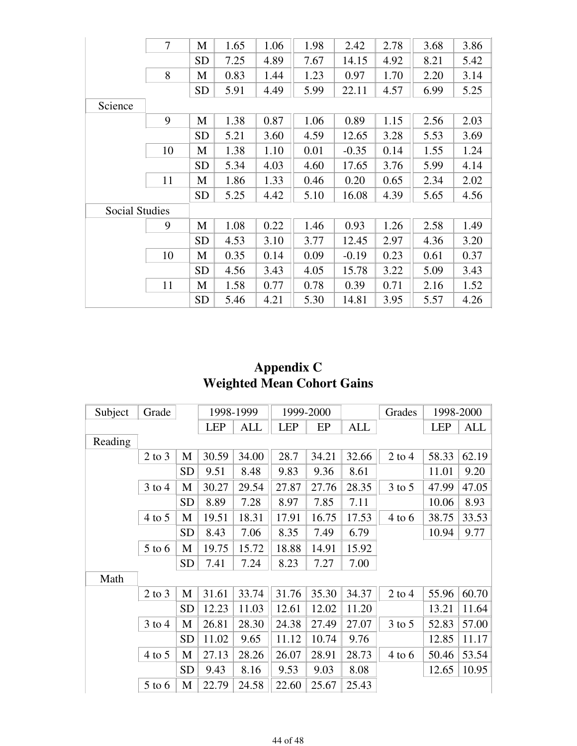|                       | $\overline{7}$ | M         | 1.65 | 1.06 | 1.98 | 2.42    | 2.78 | 3.68 | 3.86 |
|-----------------------|----------------|-----------|------|------|------|---------|------|------|------|
|                       |                | <b>SD</b> | 7.25 | 4.89 | 7.67 | 14.15   | 4.92 | 8.21 | 5.42 |
|                       | 8              | M         | 0.83 | 1.44 | 1.23 | 0.97    | 1.70 | 2.20 | 3.14 |
|                       |                | <b>SD</b> | 5.91 | 4.49 | 5.99 | 22.11   | 4.57 | 6.99 | 5.25 |
| Science               |                |           |      |      |      |         |      |      |      |
|                       | 9              | M         | 1.38 | 0.87 | 1.06 | 0.89    | 1.15 | 2.56 | 2.03 |
|                       |                | <b>SD</b> | 5.21 | 3.60 | 4.59 | 12.65   | 3.28 | 5.53 | 3.69 |
|                       | 10             | M         | 1.38 | 1.10 | 0.01 | $-0.35$ | 0.14 | 1.55 | 1.24 |
|                       |                | <b>SD</b> | 5.34 | 4.03 | 4.60 | 17.65   | 3.76 | 5.99 | 4.14 |
|                       | 11             | M         | 1.86 | 1.33 | 0.46 | 0.20    | 0.65 | 2.34 | 2.02 |
|                       |                | <b>SD</b> | 5.25 | 4.42 | 5.10 | 16.08   | 4.39 | 5.65 | 4.56 |
| <b>Social Studies</b> |                |           |      |      |      |         |      |      |      |
|                       | 9              | M         | 1.08 | 0.22 | 1.46 | 0.93    | 1.26 | 2.58 | 1.49 |
|                       |                | <b>SD</b> | 4.53 | 3.10 | 3.77 | 12.45   | 2.97 | 4.36 | 3.20 |
|                       | 10             | M         | 0.35 | 0.14 | 0.09 | $-0.19$ | 0.23 | 0.61 | 0.37 |
|                       |                | <b>SD</b> | 4.56 | 3.43 | 4.05 | 15.78   | 3.22 | 5.09 | 3.43 |
|                       | 11             | М         | 1.58 | 0.77 | 0.78 | 0.39    | 0.71 | 2.16 | 1.52 |
|                       |                | <b>SD</b> | 5.46 | 4.21 | 5.30 | 14.81   | 3.95 | 5.57 | 4.26 |

### **Appendix C Weighted Mean Cohort Gains**

| Subject | Grade      |           |            | 1998-1999  |            | 1999-2000 |            | Grades     |            | 1998-2000 |
|---------|------------|-----------|------------|------------|------------|-----------|------------|------------|------------|-----------|
|         |            |           | <b>LEP</b> | <b>ALL</b> | <b>LEP</b> | EP        | <b>ALL</b> |            | <b>LEP</b> | ALL       |
| Reading |            |           |            |            |            |           |            |            |            |           |
|         | $2$ to $3$ | M         | 30.59      | 34.00      | 28.7       | 34.21     | 32.66      | $2$ to 4   | 58.33      | 62.19     |
|         |            | <b>SD</b> | 9.51       | 8.48       | 9.83       | 9.36      | 8.61       |            | 11.01      | 9.20      |
|         | $3$ to $4$ | M         | 30.27      | 29.54      | 27.87      | 27.76     | 28.35      | $3$ to $5$ | 47.99      | 47.05     |
|         |            | <b>SD</b> | 8.89       | 7.28       | 8.97       | 7.85      | 7.11       |            | 10.06      | 8.93      |
|         | $4$ to 5   | M         | 19.51      | 18.31      | 17.91      | 16.75     | 17.53      | $4$ to $6$ | 38.75      | 33.53     |
|         |            | <b>SD</b> | 8.43       | 7.06       | 8.35       | 7.49      | 6.79       |            | 10.94      | 9.77      |
|         | $5$ to $6$ | M         | 19.75      | 15.72      | 18.88      | 14.91     | 15.92      |            |            |           |
|         |            | <b>SD</b> | 7.41       | 7.24       | 8.23       | 7.27      | 7.00       |            |            |           |
| Math    |            |           |            |            |            |           |            |            |            |           |
|         | $2$ to $3$ | M         | 31.61      | 33.74      | 31.76      | 35.30     | 34.37      | $2$ to $4$ | 55.96      | 60.70     |
|         |            | <b>SD</b> | 12.23      | 11.03      | 12.61      | 12.02     | 11.20      |            | 13.21      | 11.64     |
|         | $3$ to $4$ | M         | 26.81      | 28.30      | 24.38      | 27.49     | 27.07      | $3$ to $5$ | 52.83      | 57.00     |
|         |            | <b>SD</b> | 11.02      | 9.65       | 11.12      | 10.74     | 9.76       |            | 12.85      | 11.17     |
|         | $4$ to $5$ | M         | 27.13      | 28.26      | 26.07      | 28.91     | 28.73      | $4$ to $6$ | 50.46      | 53.54     |
|         |            | <b>SD</b> | 9.43       | 8.16       | 9.53       | 9.03      | 8.08       |            | 12.65      | 10.95     |
|         | $5$ to $6$ | M         | 22.79      | 24.58      | 22.60      | 25.67     | 25.43      |            |            |           |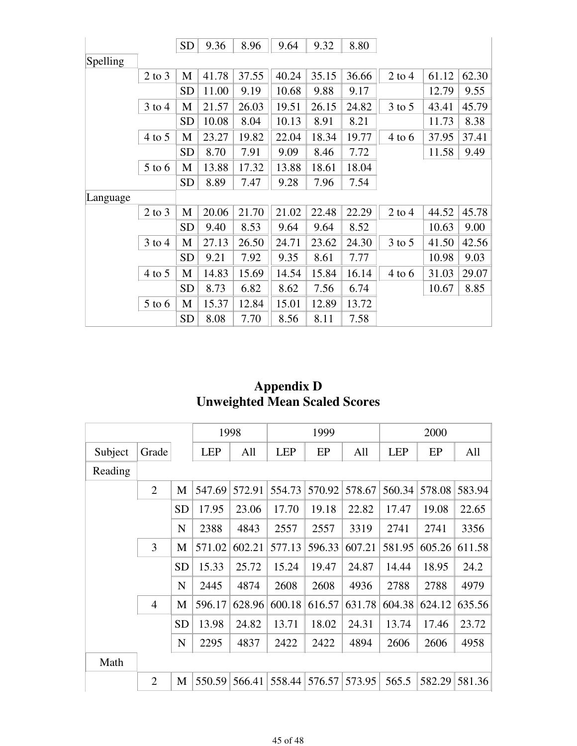|          |            | <b>SD</b> | 9.36  | 8.96  | 9.64  | 9.32  | 8.80  |            |       |       |
|----------|------------|-----------|-------|-------|-------|-------|-------|------------|-------|-------|
| Spelling |            |           |       |       |       |       |       |            |       |       |
|          | $2$ to $3$ | M         | 41.78 | 37.55 | 40.24 | 35.15 | 36.66 | $2$ to 4   | 61.12 | 62.30 |
|          |            | <b>SD</b> | 11.00 | 9.19  | 10.68 | 9.88  | 9.17  |            | 12.79 | 9.55  |
|          | $3$ to $4$ | M         | 21.57 | 26.03 | 19.51 | 26.15 | 24.82 | $3$ to $5$ | 43.41 | 45.79 |
|          |            | <b>SD</b> | 10.08 | 8.04  | 10.13 | 8.91  | 8.21  |            | 11.73 | 8.38  |
|          | $4$ to 5   | M         | 23.27 | 19.82 | 22.04 | 18.34 | 19.77 | $4$ to $6$ | 37.95 | 37.41 |
|          |            | <b>SD</b> | 8.70  | 7.91  | 9.09  | 8.46  | 7.72  |            | 11.58 | 9.49  |
|          | $5$ to 6   | M         | 13.88 | 17.32 | 13.88 | 18.61 | 18.04 |            |       |       |
|          |            | <b>SD</b> | 8.89  | 7.47  | 9.28  | 7.96  | 7.54  |            |       |       |
| Language |            |           |       |       |       |       |       |            |       |       |
|          | $2$ to $3$ | M         | 20.06 | 21.70 | 21.02 | 22.48 | 22.29 | $2$ to $4$ | 44.52 | 45.78 |
|          |            | <b>SD</b> | 9.40  | 8.53  | 9.64  | 9.64  | 8.52  |            | 10.63 | 9.00  |
|          | $3$ to $4$ | M         | 27.13 | 26.50 | 24.71 | 23.62 | 24.30 | $3$ to $5$ | 41.50 | 42.56 |
|          |            | <b>SD</b> | 9.21  | 7.92  | 9.35  | 8.61  | 7.77  |            | 10.98 | 9.03  |
|          | $4$ to 5   | M         | 14.83 | 15.69 | 14.54 | 15.84 | 16.14 | $4$ to $6$ | 31.03 | 29.07 |
|          |            | <b>SD</b> | 8.73  | 6.82  | 8.62  | 7.56  | 6.74  |            | 10.67 | 8.85  |
|          | $5$ to 6   | M         | 15.37 | 12.84 | 15.01 | 12.89 | 13.72 |            |       |       |
|          |            | <b>SD</b> | 8.08  | 7.70  | 8.56  | 8.11  | 7.58  |            |       |       |

### **Appendix D Unweighted Mean Scaled Scores**

|         |                |             |            | 1998   |            | 1999   |        |            | 2000   |        |
|---------|----------------|-------------|------------|--------|------------|--------|--------|------------|--------|--------|
| Subject | Grade          |             | <b>LEP</b> | All    | <b>LEP</b> | EP     | All    | <b>LEP</b> | EP     | All    |
| Reading |                |             |            |        |            |        |        |            |        |        |
|         | $\overline{2}$ | M           | 547.69     | 572.91 | 554.73     | 570.92 | 578.67 | 560.34     | 578.08 | 583.94 |
|         |                | <b>SD</b>   | 17.95      | 23.06  | 17.70      | 19.18  | 22.82  | 17.47      | 19.08  | 22.65  |
|         |                | $\mathbf N$ | 2388       | 4843   | 2557       | 2557   | 3319   | 2741       | 2741   | 3356   |
|         | 3              | M           | 571.02     | 602.21 | 577.13     | 596.33 | 607.21 | 581.95     | 605.26 | 611.58 |
|         |                | <b>SD</b>   | 15.33      | 25.72  | 15.24      | 19.47  | 24.87  | 14.44      | 18.95  | 24.2   |
|         |                | N           | 2445       | 4874   | 2608       | 2608   | 4936   | 2788       | 2788   | 4979   |
|         | $\overline{4}$ | M           | 596.17     | 628.96 | 600.18     | 616.57 | 631.78 | 604.38     | 624.12 | 635.56 |
|         |                | <b>SD</b>   | 13.98      | 24.82  | 13.71      | 18.02  | 24.31  | 13.74      | 17.46  | 23.72  |
|         |                | ${\bf N}$   | 2295       | 4837   | 2422       | 2422   | 4894   | 2606       | 2606   | 4958   |
| Math    |                |             |            |        |            |        |        |            |        |        |
|         | $\overline{2}$ | M           | 550.59     | 566.41 | 558.44     | 576.57 | 573.95 | 565.5      | 582.29 | 581.36 |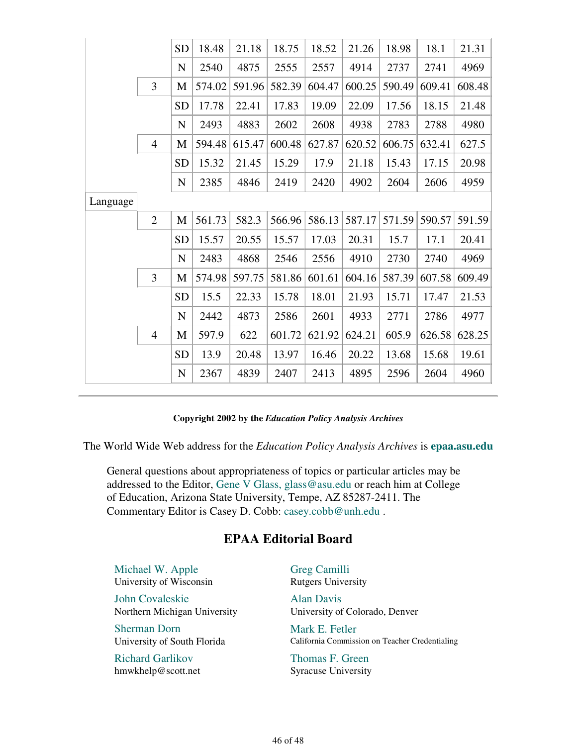|          |                | <b>SD</b>   | 18.48  | 21.18  | 18.75  | 18.52  | 21.26  | 18.98  | 18.1   | 21.31  |
|----------|----------------|-------------|--------|--------|--------|--------|--------|--------|--------|--------|
|          |                | $\mathbf N$ | 2540   | 4875   | 2555   | 2557   | 4914   | 2737   | 2741   | 4969   |
|          | $\overline{3}$ | M           | 574.02 | 591.96 | 582.39 | 604.47 | 600.25 | 590.49 | 609.41 | 608.48 |
|          |                | <b>SD</b>   | 17.78  | 22.41  | 17.83  | 19.09  | 22.09  | 17.56  | 18.15  | 21.48  |
|          |                | $\mathbf N$ | 2493   | 4883   | 2602   | 2608   | 4938   | 2783   | 2788   | 4980   |
|          | $\overline{4}$ | M           | 594.48 | 615.47 | 600.48 | 627.87 | 620.52 | 606.75 | 632.41 | 627.5  |
|          |                | <b>SD</b>   | 15.32  | 21.45  | 15.29  | 17.9   | 21.18  | 15.43  | 17.15  | 20.98  |
|          |                | ${\bf N}$   | 2385   | 4846   | 2419   | 2420   | 4902   | 2604   | 2606   | 4959   |
| Language |                |             |        |        |        |        |        |        |        |        |
|          | $\overline{2}$ | M           | 561.73 | 582.3  | 566.96 | 586.13 | 587.17 | 571.59 | 590.57 | 591.59 |
|          |                | <b>SD</b>   | 15.57  | 20.55  | 15.57  | 17.03  | 20.31  | 15.7   | 17.1   | 20.41  |
|          |                | $\mathbf N$ | 2483   | 4868   | 2546   | 2556   | 4910   | 2730   | 2740   | 4969   |
|          | 3              | M           | 574.98 | 597.75 | 581.86 | 601.61 | 604.16 | 587.39 | 607.58 | 609.49 |
|          |                | <b>SD</b>   | 15.5   | 22.33  | 15.78  | 18.01  | 21.93  | 15.71  | 17.47  | 21.53  |
|          |                | $\mathbf N$ | 2442   | 4873   | 2586   | 2601   | 4933   | 2771   | 2786   | 4977   |
|          | $\overline{4}$ | M           | 597.9  | 622    | 601.72 | 621.92 | 624.21 | 605.9  | 626.58 | 628.25 |
|          |                | SD          | 13.9   | 20.48  | 13.97  | 16.46  | 20.22  | 13.68  | 15.68  | 19.61  |
|          |                | $\mathbf N$ | 2367   | 4839   | 2407   | 2413   | 4895   | 2596   | 2604   | 4960   |
|          |                |             |        |        |        |        |        |        |        |        |

#### **Copyright 2002 by the** *Education Policy Analysis Archives*

The World Wide Web address for the *Education Policy Analysis Archives* is **epaa.asu.edu**

General questions about appropriateness of topics or particular articles may be addressed to the Editor, Gene V Glass, glass@asu.edu or reach him at College of Education, Arizona State University, Tempe, AZ 85287-2411. The Commentary Editor is Casey D. Cobb: casey.cobb@unh.edu .

### **EPAA Editorial Board**

Michael W. Apple University of Wisconsin

John Covaleskie Northern Michigan University

Sherman Dorn University of South Florida

Richard Garlikov hmwkhelp@scott.net Greg Camilli Rutgers University

Alan Davis University of Colorado, Denver

Mark E. Fetler California Commission on Teacher Credentialing

Thomas F. Green Syracuse University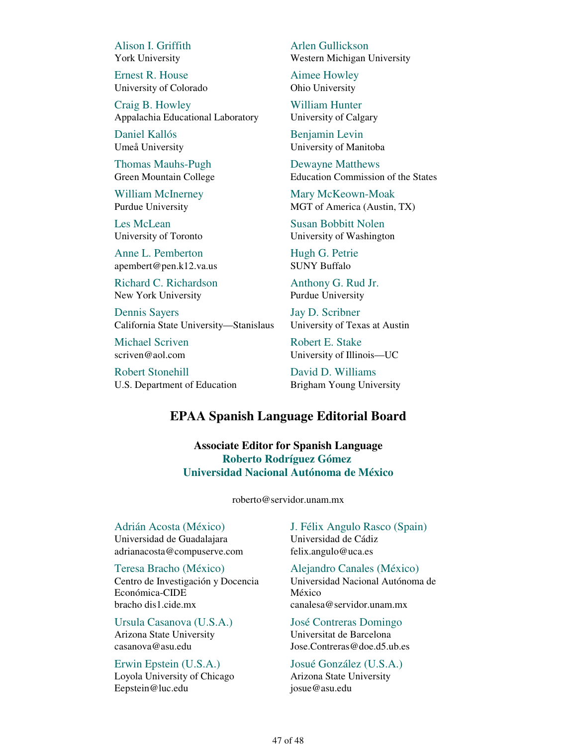Alison I. Griffith York University

Ernest R. House University of Colorado

Craig B. Howley Appalachia Educational Laboratory

Daniel Kallós Umeå University

Thomas Mauhs-Pugh Green Mountain College

William McInerney Purdue University

Les McLean University of Toronto

Anne L. Pemberton apembert@pen.k12.va.us

Richard C. Richardson New York University

Dennis Sayers California State University—Stanislaus

Michael Scriven scriven@aol.com

Robert Stonehill U.S. Department of Education Arlen Gullickson Western Michigan University

Aimee Howley Ohio University

William Hunter University of Calgary

Benjamin Levin University of Manitoba

Dewayne Matthews Education Commission of the States

Mary McKeown-Moak MGT of America (Austin, TX)

Susan Bobbitt Nolen University of Washington

Hugh G. Petrie SUNY Buffalo

Anthony G. Rud Jr. Purdue University

Jay D. Scribner University of Texas at Austin

Robert E. Stake University of Illinois—UC

David D. Williams Brigham Young University

#### **EPAA Spanish Language Editorial Board**

**Associate Editor for Spanish Language Roberto Rodríguez Gómez Universidad Nacional Autónoma de México**

roberto@servidor.unam.mx

Adrián Acosta (México) Universidad de Guadalajara adrianacosta@compuserve.com

Teresa Bracho (México) Centro de Investigación y Docencia Económica-CIDE bracho dis1.cide.mx

Ursula Casanova (U.S.A.) Arizona State University casanova@asu.edu

Erwin Epstein (U.S.A.) Loyola University of Chicago Eepstein@luc.edu

J. Félix Angulo Rasco (Spain) Universidad de Cádiz felix.angulo@uca.es

Alejandro Canales (México) Universidad Nacional Autónoma de México canalesa@servidor.unam.mx

José Contreras Domingo Universitat de Barcelona Jose.Contreras@doe.d5.ub.es

Josué González (U.S.A.) Arizona State University josue@asu.edu